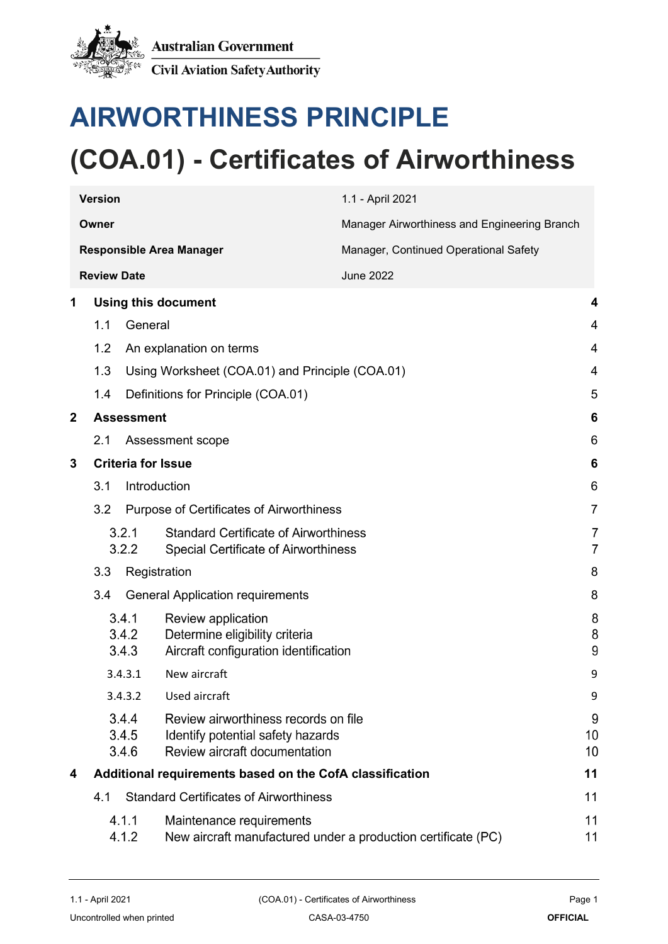

# **AIRWORTHINESS PRINCIPLE**

# **(COA.01) - Certificates of Airworthiness**

|   | <b>Version</b>          |                                                                                                            | 1.1 - April 2021                                              |                     |
|---|-------------------------|------------------------------------------------------------------------------------------------------------|---------------------------------------------------------------|---------------------|
|   | Owner                   |                                                                                                            | Manager Airworthiness and Engineering Branch                  |                     |
|   |                         | <b>Responsible Area Manager</b>                                                                            | Manager, Continued Operational Safety                         |                     |
|   | <b>Review Date</b>      |                                                                                                            | <b>June 2022</b>                                              |                     |
| 1 |                         | <b>Using this document</b>                                                                                 |                                                               | 4                   |
|   | 1.1                     | General                                                                                                    |                                                               | $\overline{4}$      |
|   | 1.2                     | An explanation on terms                                                                                    |                                                               | 4                   |
|   | 1.3                     | Using Worksheet (COA.01) and Principle (COA.01)                                                            |                                                               | 4                   |
|   | 1.4                     | Definitions for Principle (COA.01)                                                                         |                                                               | 5                   |
| 2 |                         | <b>Assessment</b>                                                                                          |                                                               | 6                   |
|   | 2.1                     | Assessment scope                                                                                           |                                                               | 6                   |
| 3 |                         | <b>Criteria for Issue</b>                                                                                  |                                                               | 6                   |
|   | 3.1                     | Introduction                                                                                               |                                                               | 6                   |
|   | 3.2                     | Purpose of Certificates of Airworthiness                                                                   |                                                               | $\overline{7}$      |
|   | 3.2.1<br>3.2.2          | <b>Standard Certificate of Airworthiness</b><br><b>Special Certificate of Airworthiness</b>                |                                                               | 7<br>$\overline{7}$ |
|   | 3.3                     | Registration                                                                                               |                                                               | 8                   |
|   | 3.4                     | <b>General Application requirements</b>                                                                    |                                                               | 8                   |
|   | 3.4.1<br>3.4.2<br>3.4.3 | Review application<br>Determine eligibility criteria<br>Aircraft configuration identification              |                                                               | 8<br>8<br>9         |
|   | 3.4.3.1                 | New aircraft                                                                                               |                                                               | 9                   |
|   | 3.4.3.2                 | Used aircraft                                                                                              |                                                               | 9                   |
|   | 3.4.4<br>3.4.5<br>3.4.6 | Review airworthiness records on file<br>Identify potential safety hazards<br>Review aircraft documentation |                                                               | 9<br>10<br>10       |
| 4 |                         | Additional requirements based on the CofA classification                                                   |                                                               | 11                  |
|   | 4.1                     | <b>Standard Certificates of Airworthiness</b>                                                              |                                                               | 11                  |
|   | 4.1.1<br>4.1.2          | Maintenance requirements                                                                                   | New aircraft manufactured under a production certificate (PC) | 11<br>11            |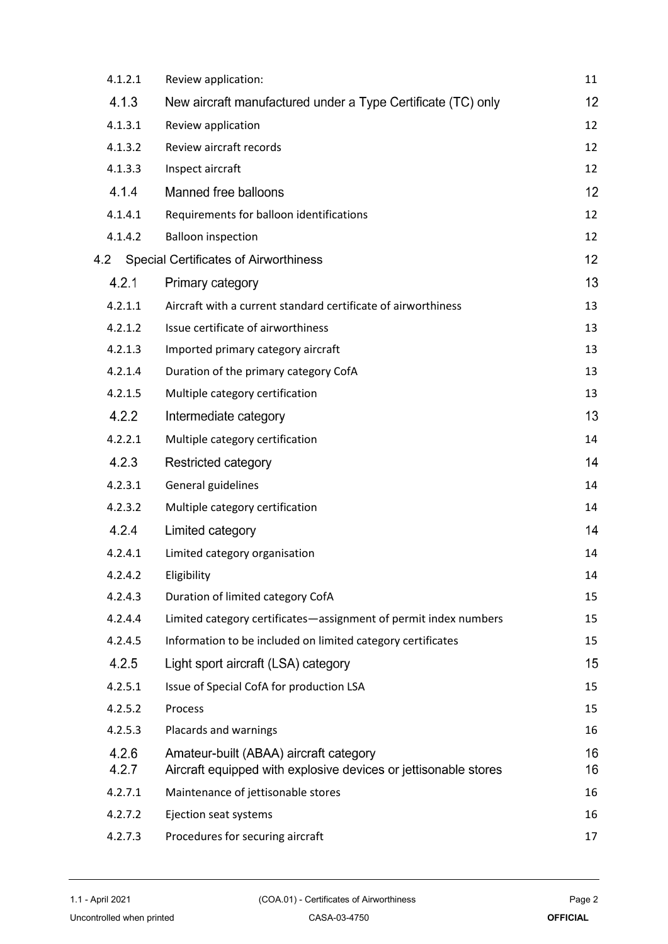| 4.1.2.1        | Review application:                                                                                       | 11       |
|----------------|-----------------------------------------------------------------------------------------------------------|----------|
| 4.1.3          | New aircraft manufactured under a Type Certificate (TC) only                                              | 12       |
| 4.1.3.1        | Review application                                                                                        | 12       |
| 4.1.3.2        | Review aircraft records                                                                                   | 12       |
| 4.1.3.3        | Inspect aircraft                                                                                          | 12       |
| 4.1.4          | Manned free balloons                                                                                      | 12       |
| 4.1.4.1        | Requirements for balloon identifications                                                                  | 12       |
| 4.1.4.2        | <b>Balloon inspection</b>                                                                                 | 12       |
| 4.2            | <b>Special Certificates of Airworthiness</b>                                                              | 12       |
| 4.2.1          | Primary category                                                                                          | 13       |
| 4.2.1.1        | Aircraft with a current standard certificate of airworthiness                                             | 13       |
| 4.2.1.2        | Issue certificate of airworthiness                                                                        | 13       |
| 4.2.1.3        | Imported primary category aircraft                                                                        | 13       |
| 4.2.1.4        | Duration of the primary category CofA                                                                     | 13       |
| 4.2.1.5        | Multiple category certification                                                                           | 13       |
| 4.2.2          | Intermediate category                                                                                     | 13       |
| 4.2.2.1        | Multiple category certification                                                                           | 14       |
| 4.2.3          | <b>Restricted category</b>                                                                                | 14       |
| 4.2.3.1        | General guidelines                                                                                        | 14       |
| 4.2.3.2        | Multiple category certification                                                                           | 14       |
| 4.2.4          | Limited category                                                                                          | 14       |
| 4.2.4.1        | Limited category organisation                                                                             | 14       |
| 4.2.4.2        | Eligibility                                                                                               | 14       |
| 4.2.4.3        | Duration of limited category CofA                                                                         | 15       |
| 4.2.4.4        | Limited category certificates-assignment of permit index numbers                                          | 15       |
| 4.2.4.5        | Information to be included on limited category certificates                                               | 15       |
| 4.2.5          | Light sport aircraft (LSA) category                                                                       | 15       |
| 4.2.5.1        | Issue of Special CofA for production LSA                                                                  | 15       |
| 4.2.5.2        | Process                                                                                                   | 15       |
| 4.2.5.3        | Placards and warnings                                                                                     | 16       |
| 4.2.6<br>4.2.7 | Amateur-built (ABAA) aircraft category<br>Aircraft equipped with explosive devices or jettisonable stores | 16<br>16 |
| 4.2.7.1        | Maintenance of jettisonable stores                                                                        | 16       |
| 4.2.7.2        | Ejection seat systems                                                                                     | 16       |
| 4.2.7.3        | Procedures for securing aircraft                                                                          | 17       |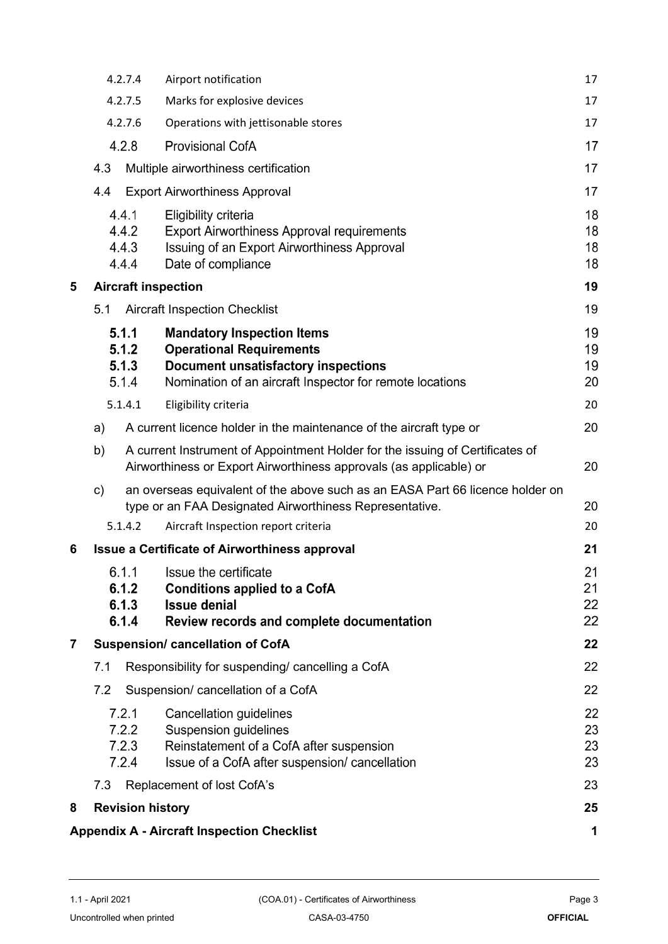|                         | 4.2.7.4                          | Airport notification                                                                                                                                                           | 17                   |
|-------------------------|----------------------------------|--------------------------------------------------------------------------------------------------------------------------------------------------------------------------------|----------------------|
|                         | 4.2.7.5                          | Marks for explosive devices                                                                                                                                                    | 17                   |
|                         | 4.2.7.6                          | Operations with jettisonable stores                                                                                                                                            | 17                   |
|                         | 4.2.8                            | <b>Provisional CofA</b>                                                                                                                                                        | 17                   |
|                         | 4.3                              | Multiple airworthiness certification                                                                                                                                           | 17                   |
|                         | 4.4                              | <b>Export Airworthiness Approval</b>                                                                                                                                           | 17                   |
|                         | 4.4.1<br>4.4.2<br>4.4.3<br>4.4.4 | Eligibility criteria<br>Export Airworthiness Approval requirements<br>Issuing of an Export Airworthiness Approval<br>Date of compliance                                        | 18<br>18<br>18<br>18 |
| 5                       |                                  | <b>Aircraft inspection</b>                                                                                                                                                     | 19                   |
|                         | 5.1                              | <b>Aircraft Inspection Checklist</b>                                                                                                                                           | 19                   |
|                         | 5.1.1<br>5.1.2<br>5.1.3<br>5.1.4 | <b>Mandatory Inspection Items</b><br><b>Operational Requirements</b><br><b>Document unsatisfactory inspections</b><br>Nomination of an aircraft Inspector for remote locations | 19<br>19<br>19<br>20 |
|                         | 5.1.4.1                          | Eligibility criteria                                                                                                                                                           | 20                   |
|                         | a)                               | A current licence holder in the maintenance of the aircraft type or                                                                                                            | 20                   |
|                         | b)                               | A current Instrument of Appointment Holder for the issuing of Certificates of<br>Airworthiness or Export Airworthiness approvals (as applicable) or                            | 20                   |
|                         | $\mathsf{c})$                    | an overseas equivalent of the above such as an EASA Part 66 licence holder on<br>type or an FAA Designated Airworthiness Representative.                                       | 20                   |
|                         | 5.1.4.2                          | Aircraft Inspection report criteria                                                                                                                                            | 20                   |
| 6                       |                                  | <b>Issue a Certificate of Airworthiness approval</b>                                                                                                                           | 21                   |
|                         | 6.1.1<br>6.1.2<br>6.1.3<br>6.1.4 | Issue the certificate<br><b>Conditions applied to a CofA</b><br><b>Issue denial</b><br>Review records and complete documentation                                               | 21<br>21<br>22<br>22 |
| $\overline{\mathbf{7}}$ |                                  | <b>Suspension/ cancellation of CofA</b>                                                                                                                                        | 22                   |
|                         | 7.1                              | Responsibility for suspending/ cancelling a CofA                                                                                                                               | 22                   |
|                         | 7.2                              | Suspension/ cancellation of a CofA                                                                                                                                             | 22                   |
|                         | 7.2.1<br>7.2.2<br>7.2.3<br>7.2.4 | <b>Cancellation guidelines</b><br><b>Suspension guidelines</b><br>Reinstatement of a CofA after suspension<br>Issue of a CofA after suspension/ cancellation                   | 22<br>23<br>23<br>23 |
|                         | 7.3                              | Replacement of lost CofA's                                                                                                                                                     | 23                   |
| 8                       | <b>Revision history</b>          |                                                                                                                                                                                | 25                   |
|                         |                                  | <b>Appendix A - Aircraft Inspection Checklist</b>                                                                                                                              | 1                    |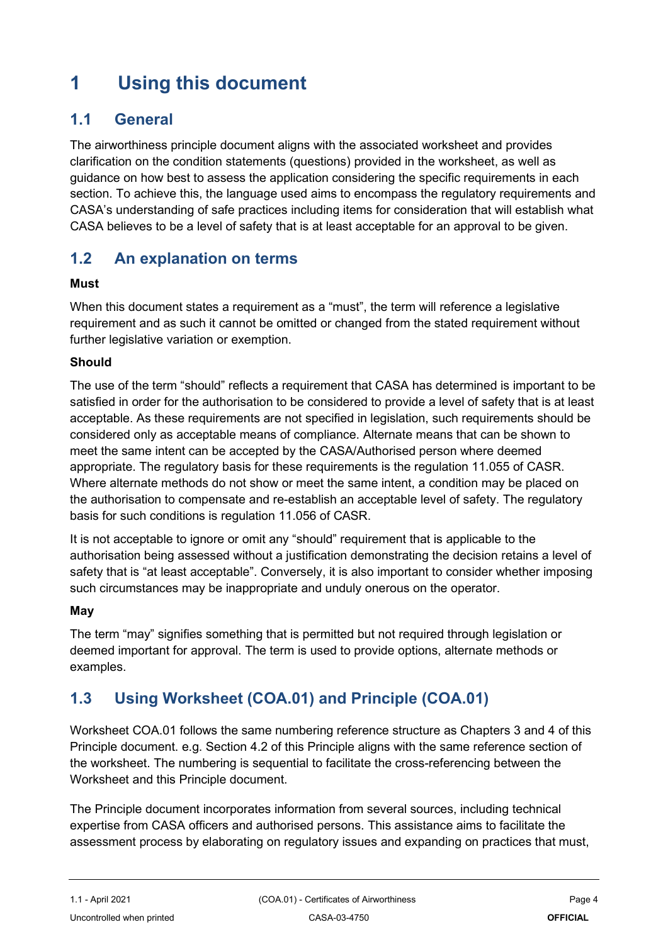## <span id="page-3-0"></span>**1 Using this document**

### <span id="page-3-1"></span>**1.1 General**

The airworthiness principle document aligns with the associated worksheet and provides clarification on the condition statements (questions) provided in the worksheet, as well as guidance on how best to assess the application considering the specific requirements in each section. To achieve this, the language used aims to encompass the regulatory requirements and CASA's understanding of safe practices including items for consideration that will establish what CASA believes to be a level of safety that is at least acceptable for an approval to be given.

### <span id="page-3-2"></span>**1.2 An explanation on terms**

#### **Must**

When this document states a requirement as a "must", the term will reference a legislative requirement and as such it cannot be omitted or changed from the stated requirement without further legislative variation or exemption.

#### **Should**

The use of the term "should" reflects a requirement that CASA has determined is important to be satisfied in order for the authorisation to be considered to provide a level of safety that is at least acceptable. As these requirements are not specified in legislation, such requirements should be considered only as acceptable means of compliance. Alternate means that can be shown to meet the same intent can be accepted by the CASA/Authorised person where deemed appropriate. The regulatory basis for these requirements is the regulation 11.055 of CASR. Where alternate methods do not show or meet the same intent, a condition may be placed on the authorisation to compensate and re-establish an acceptable level of safety. The regulatory basis for such conditions is regulation 11.056 of CASR.

It is not acceptable to ignore or omit any "should" requirement that is applicable to the authorisation being assessed without a justification demonstrating the decision retains a level of safety that is "at least acceptable". Conversely, it is also important to consider whether imposing such circumstances may be inappropriate and unduly onerous on the operator.

#### **May**

The term "may" signifies something that is permitted but not required through legislation or deemed important for approval. The term is used to provide options, alternate methods or examples.

## <span id="page-3-3"></span>**1.3 Using Worksheet (COA.01) and Principle (COA.01)**

Worksheet COA.01 follows the same numbering reference structure as Chapters 3 and 4 of this Principle document. e.g. Section 4.2 of this Principle aligns with the same reference section of the worksheet. The numbering is sequential to facilitate the cross-referencing between the Worksheet and this Principle document.

The Principle document incorporates information from several sources, including technical expertise from CASA officers and authorised persons. This assistance aims to facilitate the assessment process by elaborating on regulatory issues and expanding on practices that must,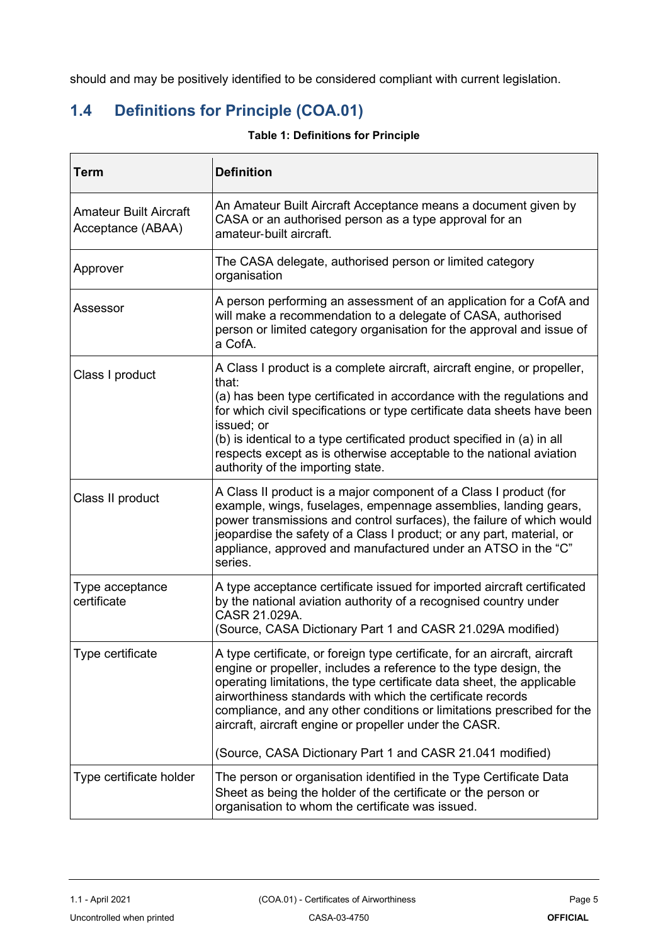should and may be positively identified to be considered compliant with current legislation.

## <span id="page-4-0"></span>**1.4 Definitions for Principle (COA.01)**

| <b>Table 1: Definitions for Principle</b> |  |  |
|-------------------------------------------|--|--|
|-------------------------------------------|--|--|

| Term                                               | <b>Definition</b>                                                                                                                                                                                                                                                                                                                                                                                                                                                                        |
|----------------------------------------------------|------------------------------------------------------------------------------------------------------------------------------------------------------------------------------------------------------------------------------------------------------------------------------------------------------------------------------------------------------------------------------------------------------------------------------------------------------------------------------------------|
| <b>Amateur Built Aircraft</b><br>Acceptance (ABAA) | An Amateur Built Aircraft Acceptance means a document given by<br>CASA or an authorised person as a type approval for an<br>amateur-built aircraft.                                                                                                                                                                                                                                                                                                                                      |
| Approver                                           | The CASA delegate, authorised person or limited category<br>organisation                                                                                                                                                                                                                                                                                                                                                                                                                 |
| Assessor                                           | A person performing an assessment of an application for a CofA and<br>will make a recommendation to a delegate of CASA, authorised<br>person or limited category organisation for the approval and issue of<br>a CofA.                                                                                                                                                                                                                                                                   |
| Class I product                                    | A Class I product is a complete aircraft, aircraft engine, or propeller,<br>that:<br>(a) has been type certificated in accordance with the regulations and<br>for which civil specifications or type certificate data sheets have been<br>issued; or<br>(b) is identical to a type certificated product specified in (a) in all<br>respects except as is otherwise acceptable to the national aviation<br>authority of the importing state.                                              |
| Class II product                                   | A Class II product is a major component of a Class I product (for<br>example, wings, fuselages, empennage assemblies, landing gears,<br>power transmissions and control surfaces), the failure of which would<br>jeopardise the safety of a Class I product; or any part, material, or<br>appliance, approved and manufactured under an ATSO in the "C"<br>series.                                                                                                                       |
| Type acceptance<br>certificate                     | A type acceptance certificate issued for imported aircraft certificated<br>by the national aviation authority of a recognised country under<br>CASR 21.029A.<br>(Source, CASA Dictionary Part 1 and CASR 21.029A modified)                                                                                                                                                                                                                                                               |
| Type certificate                                   | A type certificate, or foreign type certificate, for an aircraft, aircraft<br>engine or propeller, includes a reference to the type design, the<br>operating limitations, the type certificate data sheet, the applicable<br>airworthiness standards with which the certificate records<br>compliance, and any other conditions or limitations prescribed for the<br>aircraft, aircraft engine or propeller under the CASR.<br>(Source, CASA Dictionary Part 1 and CASR 21.041 modified) |
| Type certificate holder                            | The person or organisation identified in the Type Certificate Data<br>Sheet as being the holder of the certificate or the person or<br>organisation to whom the certificate was issued.                                                                                                                                                                                                                                                                                                  |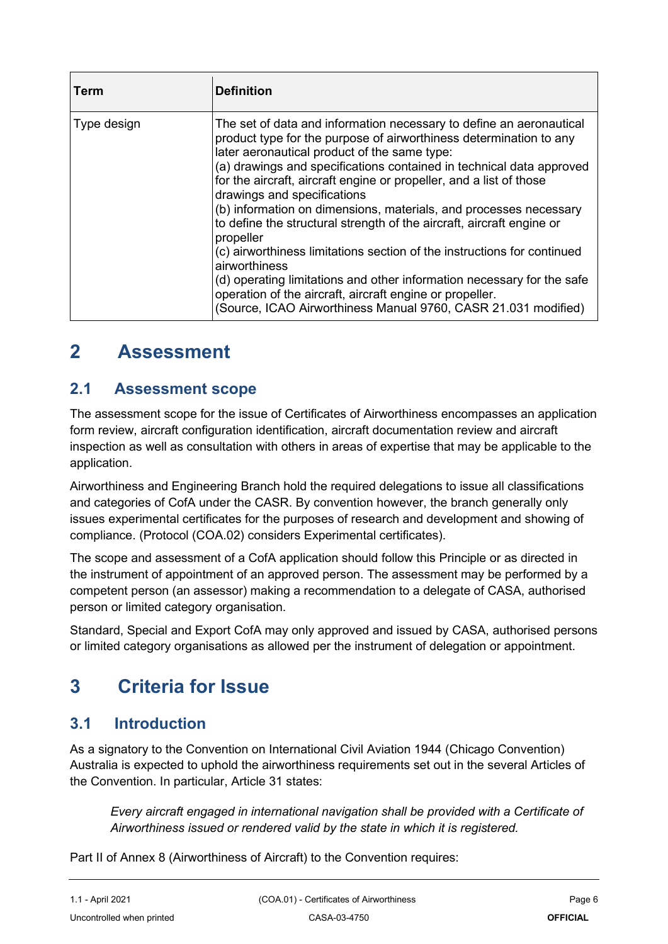| Term        | <b>Definition</b>                                                                                                                                                                                                                                                                                                                                                                                                                                                                                                                                                                                                                                                                                                                                                                                                                      |
|-------------|----------------------------------------------------------------------------------------------------------------------------------------------------------------------------------------------------------------------------------------------------------------------------------------------------------------------------------------------------------------------------------------------------------------------------------------------------------------------------------------------------------------------------------------------------------------------------------------------------------------------------------------------------------------------------------------------------------------------------------------------------------------------------------------------------------------------------------------|
| Type design | The set of data and information necessary to define an aeronautical<br>product type for the purpose of airworthiness determination to any<br>later aeronautical product of the same type:<br>(a) drawings and specifications contained in technical data approved<br>for the aircraft, aircraft engine or propeller, and a list of those<br>drawings and specifications<br>(b) information on dimensions, materials, and processes necessary<br>to define the structural strength of the aircraft, aircraft engine or<br>propeller<br>(c) airworthiness limitations section of the instructions for continued<br>airworthiness<br>(d) operating limitations and other information necessary for the safe<br>operation of the aircraft, aircraft engine or propeller.<br>(Source, ICAO Airworthiness Manual 9760, CASR 21.031 modified) |

## <span id="page-5-0"></span>**2 Assessment**

### <span id="page-5-1"></span>**2.1 Assessment scope**

The assessment scope for the issue of Certificates of Airworthiness encompasses an application form review, aircraft configuration identification, aircraft documentation review and aircraft inspection as well as consultation with others in areas of expertise that may be applicable to the application.

Airworthiness and Engineering Branch hold the required delegations to issue all classifications and categories of CofA under the CASR. By convention however, the branch generally only issues experimental certificates for the purposes of research and development and showing of compliance. (Protocol (COA.02) considers Experimental certificates).

The scope and assessment of a CofA application should follow this Principle or as directed in the instrument of appointment of an approved person. The assessment may be performed by a competent person (an assessor) making a recommendation to a delegate of CASA, authorised person or limited category organisation.

Standard, Special and Export CofA may only approved and issued by CASA, authorised persons or limited category organisations as allowed per the instrument of delegation or appointment.

## <span id="page-5-2"></span>**3 Criteria for Issue**

### <span id="page-5-3"></span>**3.1 Introduction**

As a signatory to the Convention on International Civil Aviation 1944 (Chicago Convention) Australia is expected to uphold the airworthiness requirements set out in the several Articles of the Convention. In particular, Article 31 states:

*Every aircraft engaged in international navigation shall be provided with a Certificate of Airworthiness issued or rendered valid by the state in which it is registered.*

Part II of Annex 8 (Airworthiness of Aircraft) to the Convention requires: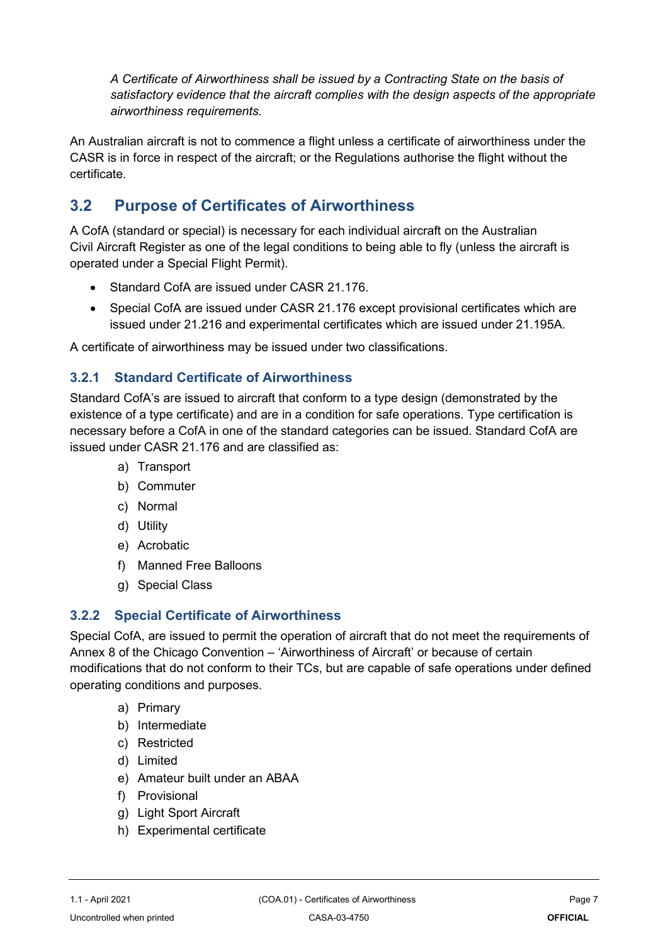*A Certificate of Airworthiness shall be issued by a Contracting State on the basis of satisfactory evidence that the aircraft complies with the design aspects of the appropriate airworthiness requirements.*

An Australian aircraft is not to commence a flight unless a certificate of airworthiness under the CASR is in force in respect of the aircraft; or the Regulations authorise the flight without the certificate.

## <span id="page-6-0"></span>**3.2 Purpose of Certificates of Airworthiness**

A CofA (standard or special) is necessary for each individual aircraft on the Australian Civil Aircraft Register as one of the legal conditions to being able to fly (unless the aircraft is operated under a Special Flight Permit).

- Standard CofA are issued under CASR 21.176.
- Special CofA are issued under CASR 21.176 except provisional certificates which are issued under 21.216 and experimental certificates which are issued under 21.195A.

A certificate of airworthiness may be issued under two classifications.

#### **3.2.1 Standard Certificate of Airworthiness**

Standard CofA's are issued to aircraft that conform to a type design (demonstrated by the existence of a type certificate) and are in a condition for safe operations. Type certification is necessary before a CofA in one of the standard categories can be issued. Standard CofA are issued under CASR 21.176 and are classified as:

- a) Transport
- b) Commuter
- c) Normal
- d) Utility
- e) Acrobatic
- f) Manned Free Balloons
- g) Special Class

#### **3.2.2 Special Certificate of Airworthiness**

Special CofA, are issued to permit the operation of aircraft that do not meet the requirements of Annex 8 of the Chicago Convention – 'Airworthiness of Aircraft' or because of certain modifications that do not conform to their TCs, but are capable of safe operations under defined operating conditions and purposes.

- a) Primary
- b) Intermediate
- c) Restricted
- d) Limited
- e) Amateur built under an ABAA
- f) Provisional
- g) Light Sport Aircraft
- h) Experimental certificate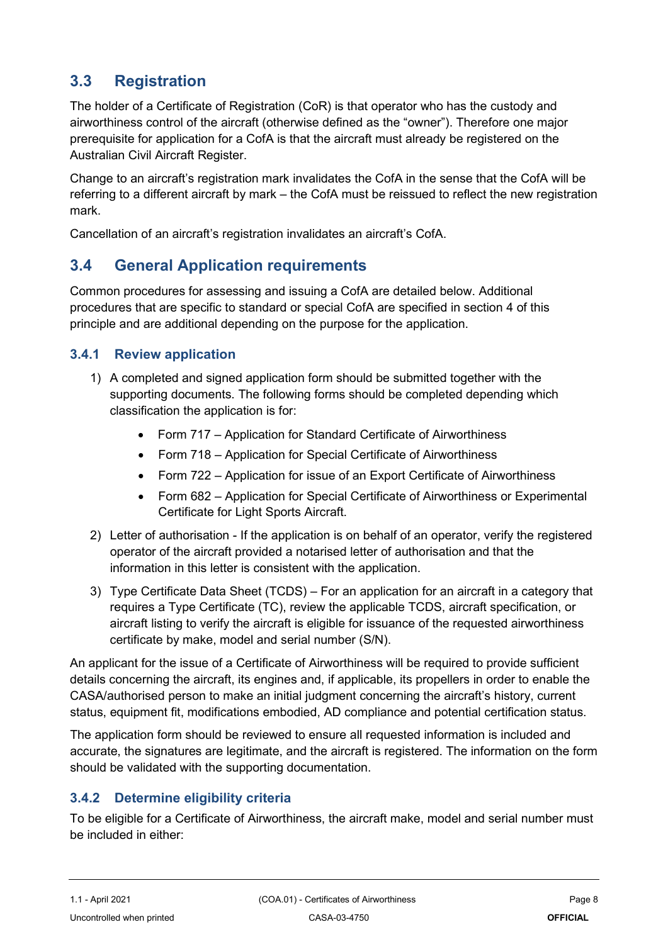## <span id="page-7-0"></span>**3.3 Registration**

The holder of a Certificate of Registration (CoR) is that operator who has the custody and airworthiness control of the aircraft (otherwise defined as the "owner"). Therefore one major prerequisite for application for a CofA is that the aircraft must already be registered on the Australian Civil Aircraft Register.

Change to an aircraft's registration mark invalidates the CofA in the sense that the CofA will be referring to a different aircraft by mark – the CofA must be reissued to reflect the new registration mark.

Cancellation of an aircraft's registration invalidates an aircraft's CofA.

## <span id="page-7-1"></span>**3.4 General Application requirements**

Common procedures for assessing and issuing a CofA are detailed below. Additional procedures that are specific to standard or special CofA are specified in section 4 of this principle and are additional depending on the purpose for the application.

#### **3.4.1 Review application**

- 1) A completed and signed application form should be submitted together with the supporting documents. The following forms should be completed depending which classification the application is for:
	- Form 717 Application for Standard Certificate of Airworthiness
	- Form 718 Application for Special Certificate of Airworthiness
	- Form 722 Application for issue of an Export Certificate of Airworthiness
	- Form 682 Application for Special Certificate of Airworthiness or Experimental Certificate for Light Sports Aircraft.
- 2) Letter of authorisation If the application is on behalf of an operator, verify the registered operator of the aircraft provided a notarised letter of authorisation and that the information in this letter is consistent with the application.
- 3) Type Certificate Data Sheet (TCDS) For an application for an aircraft in a category that requires a Type Certificate (TC), review the applicable TCDS, aircraft specification, or aircraft listing to verify the aircraft is eligible for issuance of the requested airworthiness certificate by make, model and serial number (S/N).

An applicant for the issue of a Certificate of Airworthiness will be required to provide sufficient details concerning the aircraft, its engines and, if applicable, its propellers in order to enable the CASA/authorised person to make an initial judgment concerning the aircraft's history, current status, equipment fit, modifications embodied, AD compliance and potential certification status.

The application form should be reviewed to ensure all requested information is included and accurate, the signatures are legitimate, and the aircraft is registered. The information on the form should be validated with the supporting documentation.

#### **3.4.2 Determine eligibility criteria**

To be eligible for a Certificate of Airworthiness, the aircraft make, model and serial number must be included in either: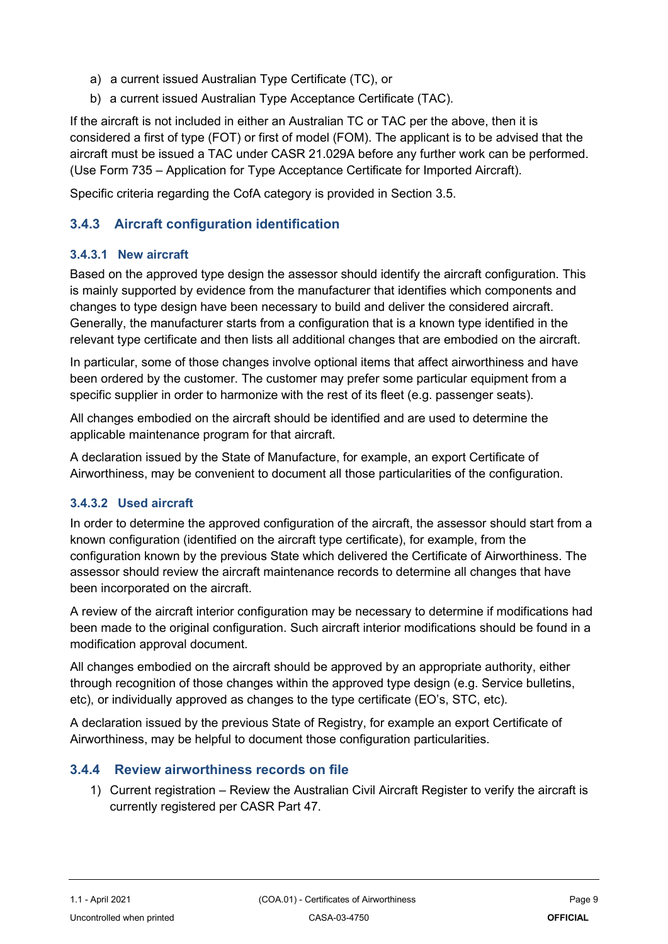- a) a current issued Australian Type Certificate (TC), or
- b) a current issued Australian Type Acceptance Certificate (TAC).

If the aircraft is not included in either an Australian TC or TAC per the above, then it is considered a first of type (FOT) or first of model (FOM). The applicant is to be advised that the aircraft must be issued a TAC under CASR 21.029A before any further work can be performed. (Use Form 735 – Application for Type Acceptance Certificate for Imported Aircraft).

Specific criteria regarding the CofA category is provided in Section 3.5.

#### **3.4.3 Aircraft configuration identification**

#### <span id="page-8-0"></span>**3.4.3.1 New aircraft**

Based on the approved type design the assessor should identify the aircraft configuration. This is mainly supported by evidence from the manufacturer that identifies which components and changes to type design have been necessary to build and deliver the considered aircraft. Generally, the manufacturer starts from a configuration that is a known type identified in the relevant type certificate and then lists all additional changes that are embodied on the aircraft.

In particular, some of those changes involve optional items that affect airworthiness and have been ordered by the customer. The customer may prefer some particular equipment from a specific supplier in order to harmonize with the rest of its fleet (e.g. passenger seats).

All changes embodied on the aircraft should be identified and are used to determine the applicable maintenance program for that aircraft.

A declaration issued by the State of Manufacture, for example, an export Certificate of Airworthiness, may be convenient to document all those particularities of the configuration.

#### <span id="page-8-1"></span>**3.4.3.2 Used aircraft**

In order to determine the approved configuration of the aircraft, the assessor should start from a known configuration (identified on the aircraft type certificate), for example, from the configuration known by the previous State which delivered the Certificate of Airworthiness. The assessor should review the aircraft maintenance records to determine all changes that have been incorporated on the aircraft.

A review of the aircraft interior configuration may be necessary to determine if modifications had been made to the original configuration. Such aircraft interior modifications should be found in a modification approval document.

All changes embodied on the aircraft should be approved by an appropriate authority, either through recognition of those changes within the approved type design (e.g. Service bulletins, etc), or individually approved as changes to the type certificate (EO's, STC, etc).

A declaration issued by the previous State of Registry, for example an export Certificate of Airworthiness, may be helpful to document those configuration particularities.

#### **3.4.4 Review airworthiness records on file**

1) Current registration – Review the Australian Civil Aircraft Register to verify the aircraft is currently registered per CASR Part 47.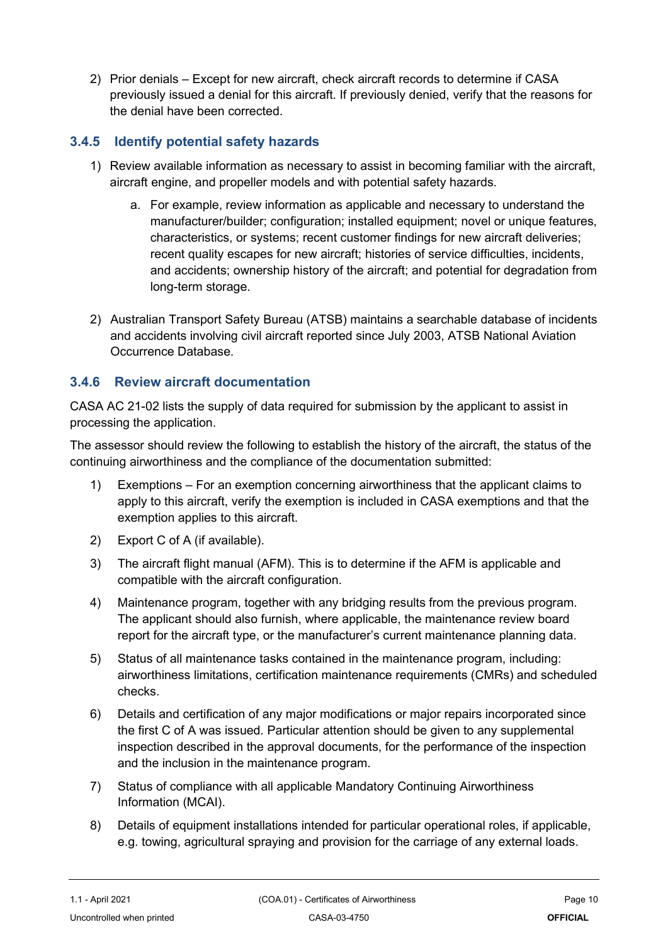2) Prior denials – Except for new aircraft, check aircraft records to determine if CASA previously issued a denial for this aircraft. If previously denied, verify that the reasons for the denial have been corrected.

#### **3.4.5 Identify potential safety hazards**

- 1) Review available information as necessary to assist in becoming familiar with the aircraft, aircraft engine, and propeller models and with potential safety hazards.
	- a. For example, review information as applicable and necessary to understand the manufacturer/builder; configuration; installed equipment; novel or unique features, characteristics, or systems; recent customer findings for new aircraft deliveries; recent quality escapes for new aircraft; histories of service difficulties, incidents, and accidents; ownership history of the aircraft; and potential for degradation from long-term storage.
- 2) Australian Transport Safety Bureau (ATSB) maintains a searchable database of incidents and accidents involving civil aircraft reported since July 2003, ATSB National Aviation Occurrence Database.

#### **3.4.6 Review aircraft documentation**

CASA AC 21-02 lists the supply of data required for submission by the applicant to assist in processing the application.

The assessor should review the following to establish the history of the aircraft, the status of the continuing airworthiness and the compliance of the documentation submitted:

- 1) Exemptions For an exemption concerning airworthiness that the applicant claims to apply to this aircraft, verify the exemption is included in CASA exemptions and that the exemption applies to this aircraft.
- 2) Export C of A (if available).
- 3) The aircraft flight manual (AFM). This is to determine if the AFM is applicable and compatible with the aircraft configuration.
- 4) Maintenance program, together with any bridging results from the previous program. The applicant should also furnish, where applicable, the maintenance review board report for the aircraft type, or the manufacturer's current maintenance planning data.
- 5) Status of all maintenance tasks contained in the maintenance program, including: airworthiness limitations, certification maintenance requirements (CMRs) and scheduled checks.
- 6) Details and certification of any major modifications or major repairs incorporated since the first C of A was issued. Particular attention should be given to any supplemental inspection described in the approval documents, for the performance of the inspection and the inclusion in the maintenance program.
- 7) Status of compliance with all applicable Mandatory Continuing Airworthiness Information (MCAI).
- 8) Details of equipment installations intended for particular operational roles, if applicable, e.g. towing, agricultural spraying and provision for the carriage of any external loads.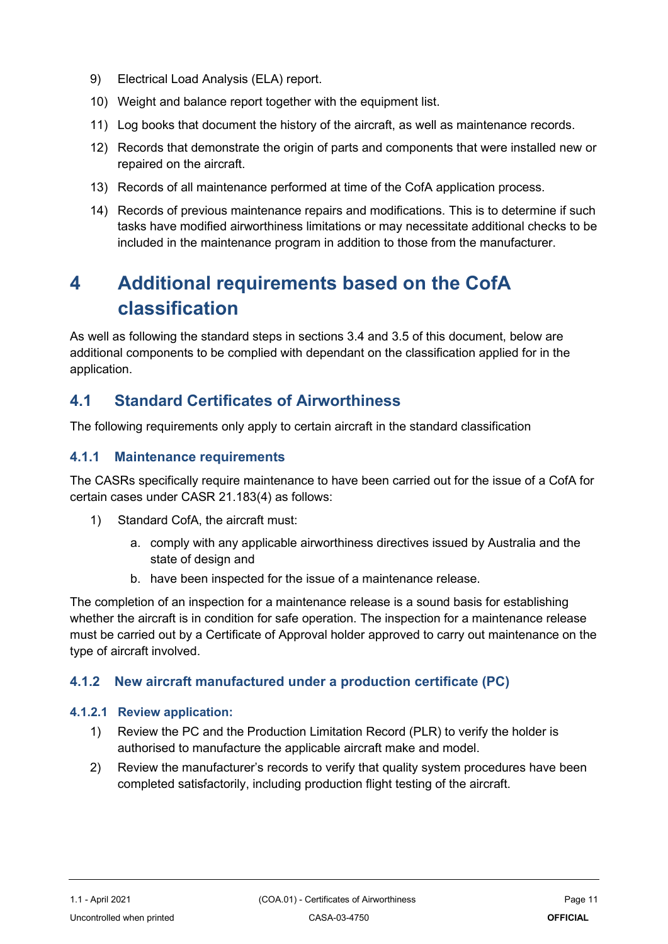- 9) Electrical Load Analysis (ELA) report.
- 10) Weight and balance report together with the equipment list.
- 11) Log books that document the history of the aircraft, as well as maintenance records.
- 12) Records that demonstrate the origin of parts and components that were installed new or repaired on the aircraft.
- 13) Records of all maintenance performed at time of the CofA application process.
- 14) Records of previous maintenance repairs and modifications. This is to determine if such tasks have modified airworthiness limitations or may necessitate additional checks to be included in the maintenance program in addition to those from the manufacturer.

## <span id="page-10-0"></span>**4 Additional requirements based on the CofA classification**

As well as following the standard steps in sections 3.4 and 3.5 of this document, below are additional components to be complied with dependant on the classification applied for in the application.

## <span id="page-10-1"></span>**4.1 Standard Certificates of Airworthiness**

The following requirements only apply to certain aircraft in the standard classification

#### **4.1.1 Maintenance requirements**

The CASRs specifically require maintenance to have been carried out for the issue of a CofA for certain cases under CASR 21.183(4) as follows:

- 1) Standard CofA, the aircraft must:
	- a. comply with any applicable airworthiness directives issued by Australia and the state of design and
	- b. have been inspected for the issue of a maintenance release.

The completion of an inspection for a maintenance release is a sound basis for establishing whether the aircraft is in condition for safe operation. The inspection for a maintenance release must be carried out by a Certificate of Approval holder approved to carry out maintenance on the type of aircraft involved.

#### **4.1.2 New aircraft manufactured under a production certificate (PC)**

#### <span id="page-10-2"></span>**4.1.2.1 Review application:**

- 1) Review the PC and the Production Limitation Record (PLR) to verify the holder is authorised to manufacture the applicable aircraft make and model.
- 2) Review the manufacturer's records to verify that quality system procedures have been completed satisfactorily, including production flight testing of the aircraft.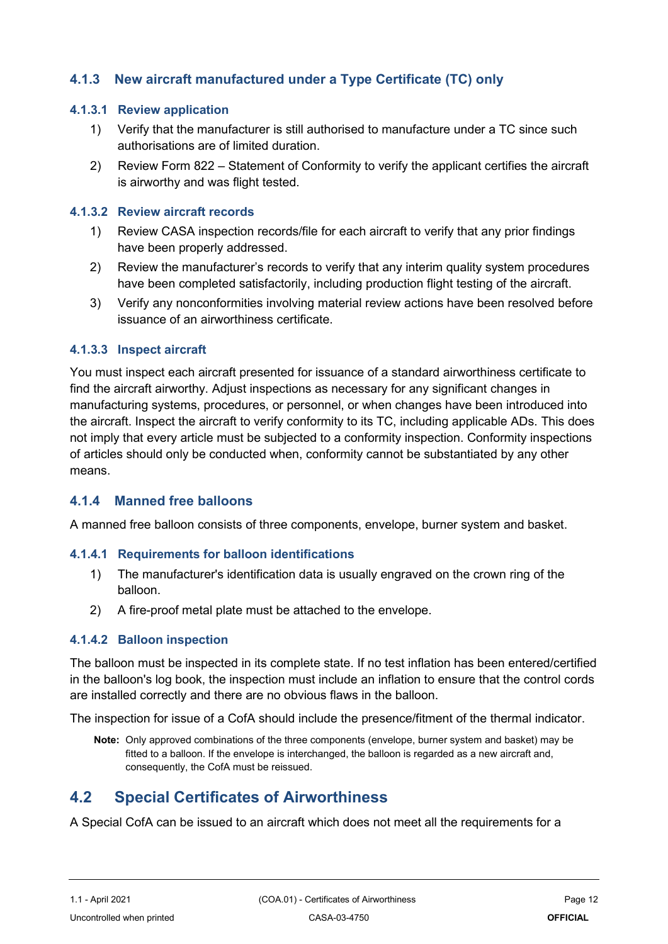#### **4.1.3 New aircraft manufactured under a Type Certificate (TC) only**

#### <span id="page-11-0"></span>**4.1.3.1 Review application**

- 1) Verify that the manufacturer is still authorised to manufacture under a TC since such authorisations are of limited duration.
- 2) Review Form 822 Statement of Conformity to verify the applicant certifies the aircraft is airworthy and was flight tested.

#### <span id="page-11-1"></span>**4.1.3.2 Review aircraft records**

- 1) Review CASA inspection records/file for each aircraft to verify that any prior findings have been properly addressed.
- 2) Review the manufacturer's records to verify that any interim quality system procedures have been completed satisfactorily, including production flight testing of the aircraft.
- 3) Verify any nonconformities involving material review actions have been resolved before issuance of an airworthiness certificate.

#### <span id="page-11-2"></span>**4.1.3.3 Inspect aircraft**

You must inspect each aircraft presented for issuance of a standard airworthiness certificate to find the aircraft airworthy. Adjust inspections as necessary for any significant changes in manufacturing systems, procedures, or personnel, or when changes have been introduced into the aircraft. Inspect the aircraft to verify conformity to its TC, including applicable ADs. This does not imply that every article must be subjected to a conformity inspection. Conformity inspections of articles should only be conducted when, conformity cannot be substantiated by any other means.

#### **4.1.4 Manned free balloons**

A manned free balloon consists of three components, envelope, burner system and basket.

#### <span id="page-11-3"></span>**4.1.4.1 Requirements for balloon identifications**

- 1) The manufacturer's identification data is usually engraved on the crown ring of the balloon.
- 2) A fire-proof metal plate must be attached to the envelope.

#### <span id="page-11-4"></span>**4.1.4.2 Balloon inspection**

The balloon must be inspected in its complete state. If no test inflation has been entered/certified in the balloon's log book, the inspection must include an inflation to ensure that the control cords are installed correctly and there are no obvious flaws in the balloon.

The inspection for issue of a CofA should include the presence/fitment of the thermal indicator.

**Note:** Only approved combinations of the three components (envelope, burner system and basket) may be fitted to a balloon. If the envelope is interchanged, the balloon is regarded as a new aircraft and, consequently, the CofA must be reissued.

### <span id="page-11-5"></span>**4.2 Special Certificates of Airworthiness**

A Special CofA can be issued to an aircraft which does not meet all the requirements for a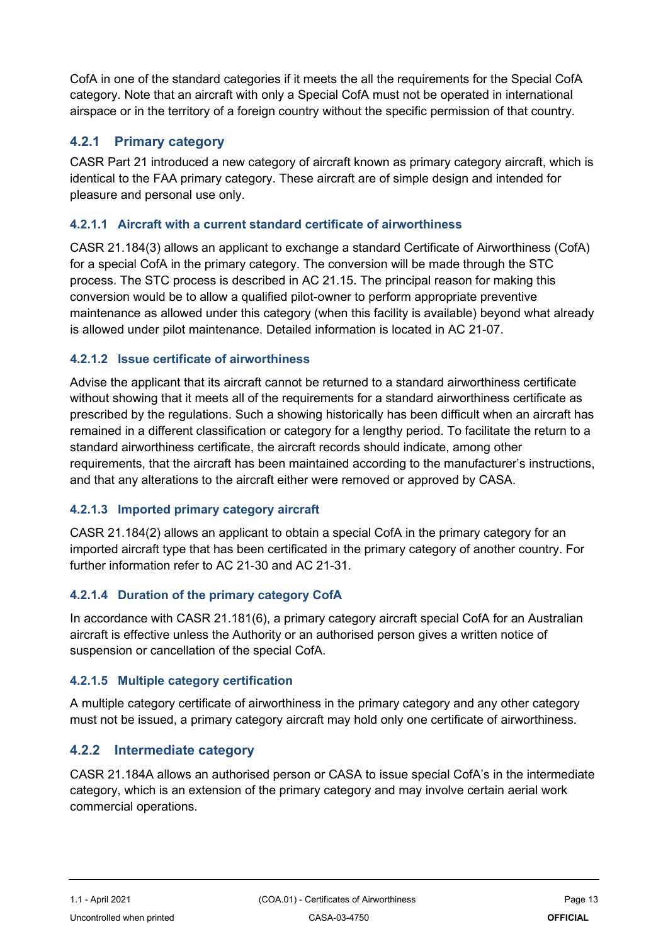CofA in one of the standard categories if it meets the all the requirements for the Special CofA category. Note that an aircraft with only a Special CofA must not be operated in international airspace or in the territory of a foreign country without the specific permission of that country.

#### **4.2.1 Primary category**

CASR Part 21 introduced a new category of aircraft known as primary category aircraft, which is identical to the FAA primary category. These aircraft are of simple design and intended for pleasure and personal use only.

#### <span id="page-12-0"></span>**4.2.1.1 Aircraft with a current standard certificate of airworthiness**

CASR 21.184(3) allows an applicant to exchange a standard Certificate of Airworthiness (CofA) for a special CofA in the primary category. The conversion will be made through the STC process. The STC process is described in AC 21.15. The principal reason for making this conversion would be to allow a qualified pilot-owner to perform appropriate preventive maintenance as allowed under this category (when this facility is available) beyond what already is allowed under pilot maintenance. Detailed information is located in AC 21-07.

#### <span id="page-12-1"></span>**4.2.1.2 Issue certificate of airworthiness**

Advise the applicant that its aircraft cannot be returned to a standard airworthiness certificate without showing that it meets all of the requirements for a standard airworthiness certificate as prescribed by the regulations. Such a showing historically has been difficult when an aircraft has remained in a different classification or category for a lengthy period. To facilitate the return to a standard airworthiness certificate, the aircraft records should indicate, among other requirements, that the aircraft has been maintained according to the manufacturer's instructions, and that any alterations to the aircraft either were removed or approved by CASA.

#### <span id="page-12-2"></span>**4.2.1.3 Imported primary category aircraft**

CASR 21.184(2) allows an applicant to obtain a special CofA in the primary category for an imported aircraft type that has been certificated in the primary category of another country. For further information refer to AC 21-30 and AC 21-31.

#### <span id="page-12-3"></span>**4.2.1.4 Duration of the primary category CofA**

In accordance with CASR 21.181(6), a primary category aircraft special CofA for an Australian aircraft is effective unless the Authority or an authorised person gives a written notice of suspension or cancellation of the special CofA.

#### <span id="page-12-4"></span>**4.2.1.5 Multiple category certification**

A multiple category certificate of airworthiness in the primary category and any other category must not be issued, a primary category aircraft may hold only one certificate of airworthiness.

#### **4.2.2 Intermediate category**

CASR 21.184A allows an authorised person or CASA to issue special CofA's in the intermediate category, which is an extension of the primary category and may involve certain aerial work commercial operations.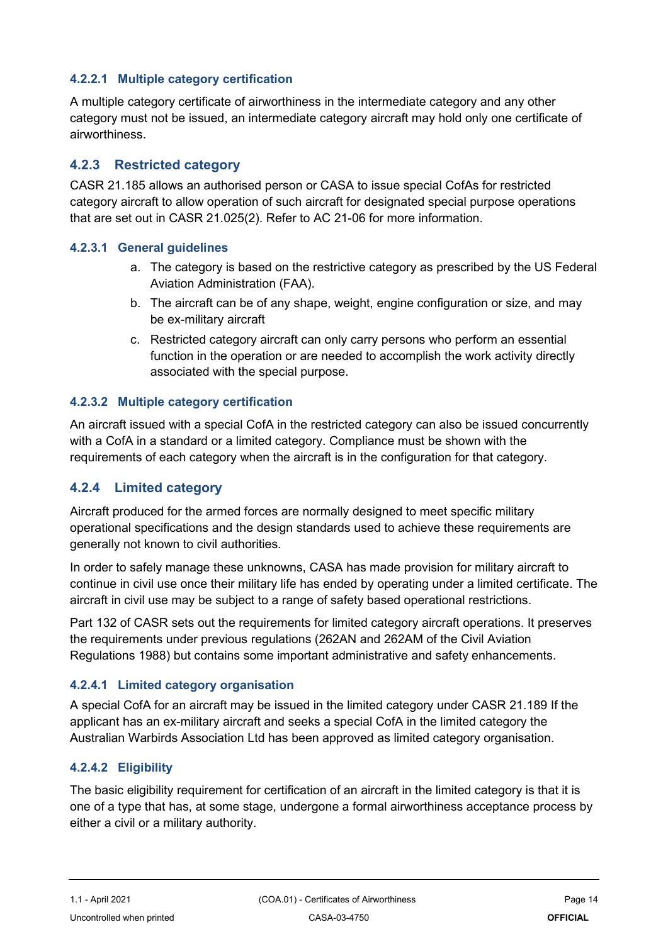#### <span id="page-13-0"></span>**4.2.2.1 Multiple category certification**

A multiple category certificate of airworthiness in the intermediate category and any other category must not be issued, an intermediate category aircraft may hold only one certificate of airworthiness.

#### **4.2.3 Restricted category**

CASR 21.185 allows an authorised person or CASA to issue special CofAs for restricted category aircraft to allow operation of such aircraft for designated special purpose operations that are set out in CASR 21.025(2). Refer to AC 21-06 for more information.

#### <span id="page-13-1"></span>**4.2.3.1 General guidelines**

- a. The category is based on the restrictive category as prescribed by the US Federal Aviation Administration (FAA).
- b. The aircraft can be of any shape, weight, engine configuration or size, and may be ex-military aircraft
- c. Restricted category aircraft can only carry persons who perform an essential function in the operation or are needed to accomplish the work activity directly associated with the special purpose.

#### <span id="page-13-2"></span>**4.2.3.2 Multiple category certification**

An aircraft issued with a special CofA in the restricted category can also be issued concurrently with a CofA in a standard or a limited category. Compliance must be shown with the requirements of each category when the aircraft is in the configuration for that category.

#### **4.2.4 Limited category**

Aircraft produced for the armed forces are normally designed to meet specific military operational specifications and the design standards used to achieve these requirements are generally not known to civil authorities.

In order to safely manage these unknowns, CASA has made provision for military aircraft to continue in civil use once their military life has ended by operating under a limited certificate. The aircraft in civil use may be subject to a range of safety based operational restrictions.

Part 132 of CASR sets out the requirements for limited category aircraft operations. It preserves the requirements under previous regulations (262AN and 262AM of the Civil Aviation Regulations 1988) but contains some important administrative and safety enhancements.

#### <span id="page-13-3"></span>**4.2.4.1 Limited category organisation**

A special CofA for an aircraft may be issued in the limited category under CASR 21.189 If the applicant has an ex-military aircraft and seeks a special CofA in the limited category the Australian Warbirds Association Ltd has been approved as limited category organisation.

#### <span id="page-13-4"></span>**4.2.4.2 Eligibility**

The basic eligibility requirement for certification of an aircraft in the limited category is that it is one of a type that has, at some stage, undergone a formal airworthiness acceptance process by either a civil or a military authority.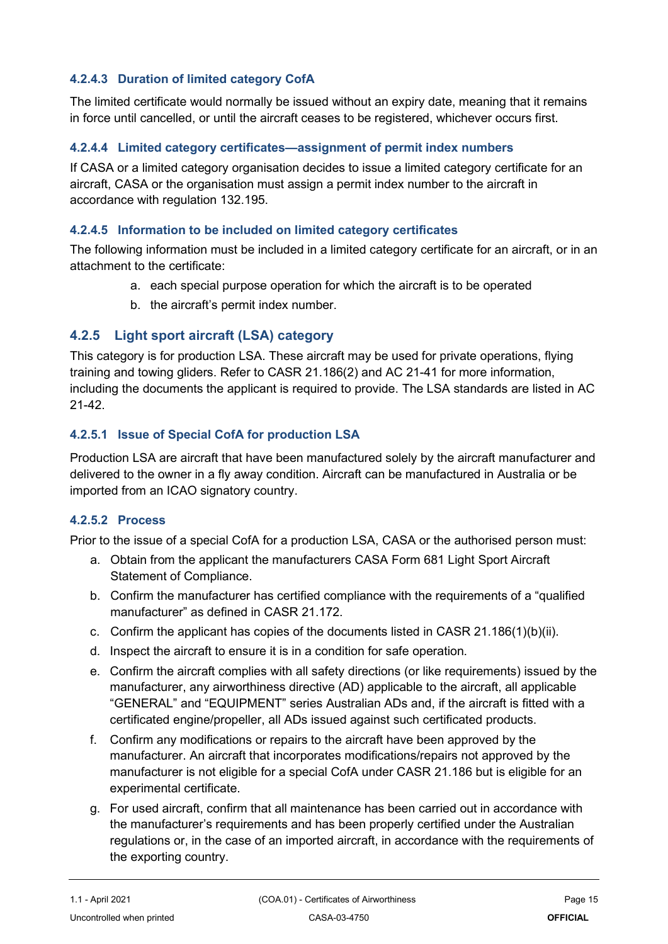#### <span id="page-14-0"></span>**4.2.4.3 Duration of limited category CofA**

The limited certificate would normally be issued without an expiry date, meaning that it remains in force until cancelled, or until the aircraft ceases to be registered, whichever occurs first.

#### <span id="page-14-1"></span>**4.2.4.4 Limited category certificates—assignment of permit index numbers**

If CASA or a limited category organisation decides to issue a limited category certificate for an aircraft, CASA or the organisation must assign a permit index number to the aircraft in accordance with regulation 132.195.

#### <span id="page-14-2"></span>**4.2.4.5 Information to be included on limited category certificates**

The following information must be included in a limited category certificate for an aircraft, or in an attachment to the certificate:

- a. each special purpose operation for which the aircraft is to be operated
- b. the aircraft's permit index number.

#### **4.2.5 Light sport aircraft (LSA) category**

This category is for production LSA. These aircraft may be used for private operations, flying training and towing gliders. Refer to CASR 21.186(2) and AC 21-41 for more information, including the documents the applicant is required to provide. The LSA standards are listed in AC 21-42.

#### <span id="page-14-3"></span>**4.2.5.1 Issue of Special CofA for production LSA**

Production LSA are aircraft that have been manufactured solely by the aircraft manufacturer and delivered to the owner in a fly away condition. Aircraft can be manufactured in Australia or be imported from an ICAO signatory country.

#### <span id="page-14-4"></span>**4.2.5.2 Process**

Prior to the issue of a special CofA for a production LSA, CASA or the authorised person must:

- a. Obtain from the applicant the manufacturers CASA Form 681 Light Sport Aircraft Statement of Compliance.
- b. Confirm the manufacturer has certified compliance with the requirements of a "qualified manufacturer" as defined in CASR 21.172.
- c. Confirm the applicant has copies of the documents listed in CASR 21.186(1)(b)(ii).
- d. Inspect the aircraft to ensure it is in a condition for safe operation.
- e. Confirm the aircraft complies with all safety directions (or like requirements) issued by the manufacturer, any airworthiness directive (AD) applicable to the aircraft, all applicable "GENERAL" and "EQUIPMENT" series Australian ADs and, if the aircraft is fitted with a certificated engine/propeller, all ADs issued against such certificated products.
- f. Confirm any modifications or repairs to the aircraft have been approved by the manufacturer. An aircraft that incorporates modifications/repairs not approved by the manufacturer is not eligible for a special CofA under CASR 21.186 but is eligible for an experimental certificate.
- g. For used aircraft, confirm that all maintenance has been carried out in accordance with the manufacturer's requirements and has been properly certified under the Australian regulations or, in the case of an imported aircraft, in accordance with the requirements of the exporting country.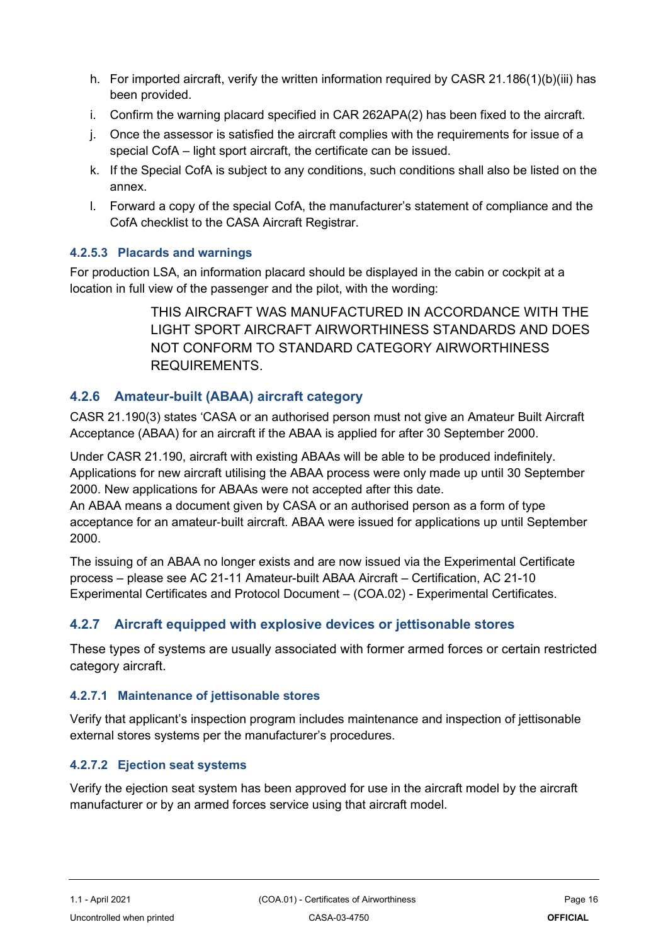- h. For imported aircraft, verify the written information required by CASR 21.186(1)(b)(iii) has been provided.
- i. Confirm the warning placard specified in CAR 262APA(2) has been fixed to the aircraft.
- j. Once the assessor is satisfied the aircraft complies with the requirements for issue of a special CofA – light sport aircraft, the certificate can be issued.
- k. If the Special CofA is subject to any conditions, such conditions shall also be listed on the annex.
- l. Forward a copy of the special CofA, the manufacturer's statement of compliance and the CofA checklist to the CASA Aircraft Registrar.

#### <span id="page-15-0"></span>**4.2.5.3 Placards and warnings**

For production LSA, an information placard should be displayed in the cabin or cockpit at a location in full view of the passenger and the pilot, with the wording:

> THIS AIRCRAFT WAS MANUFACTURED IN ACCORDANCE WITH THE LIGHT SPORT AIRCRAFT AIRWORTHINESS STANDARDS AND DOES NOT CONFORM TO STANDARD CATEGORY AIRWORTHINESS **REQUIREMENTS**

#### **4.2.6 Amateur-built (ABAA) aircraft category**

CASR 21.190(3) states 'CASA or an authorised person must not give an Amateur Built Aircraft Acceptance (ABAA) for an aircraft if the ABAA is applied for after 30 September 2000.

Under CASR 21.190, aircraft with existing ABAAs will be able to be produced indefinitely. Applications for new aircraft utilising the ABAA process were only made up until 30 September 2000. New applications for ABAAs were not accepted after this date.

An ABAA means a document given by CASA or an authorised person as a form of type acceptance for an amateur‑built aircraft. ABAA were issued for applications up until September 2000.

The issuing of an ABAA no longer exists and are now issued via the Experimental Certificate process – please see AC 21-11 Amateur-built ABAA Aircraft – Certification, AC 21-10 Experimental Certificates and Protocol Document – (COA.02) - Experimental Certificates.

#### **4.2.7 Aircraft equipped with explosive devices or jettisonable stores**

These types of systems are usually associated with former armed forces or certain restricted category aircraft.

#### <span id="page-15-1"></span>**4.2.7.1 Maintenance of jettisonable stores**

Verify that applicant's inspection program includes maintenance and inspection of jettisonable external stores systems per the manufacturer's procedures.

#### <span id="page-15-2"></span>**4.2.7.2 Ejection seat systems**

Verify the ejection seat system has been approved for use in the aircraft model by the aircraft manufacturer or by an armed forces service using that aircraft model.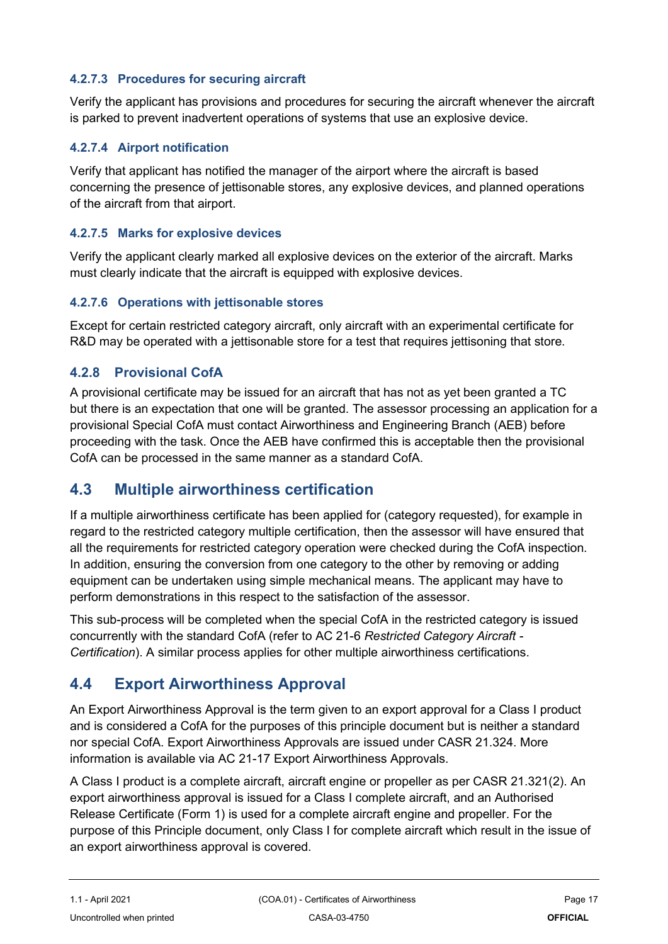#### <span id="page-16-0"></span>**4.2.7.3 Procedures for securing aircraft**

Verify the applicant has provisions and procedures for securing the aircraft whenever the aircraft is parked to prevent inadvertent operations of systems that use an explosive device.

#### <span id="page-16-1"></span>**4.2.7.4 Airport notification**

Verify that applicant has notified the manager of the airport where the aircraft is based concerning the presence of jettisonable stores, any explosive devices, and planned operations of the aircraft from that airport.

#### <span id="page-16-2"></span>**4.2.7.5 Marks for explosive devices**

Verify the applicant clearly marked all explosive devices on the exterior of the aircraft. Marks must clearly indicate that the aircraft is equipped with explosive devices.

#### <span id="page-16-3"></span>**4.2.7.6 Operations with jettisonable stores**

Except for certain restricted category aircraft, only aircraft with an experimental certificate for R&D may be operated with a jettisonable store for a test that requires jettisoning that store.

#### **4.2.8 Provisional CofA**

A provisional certificate may be issued for an aircraft that has not as yet been granted a TC but there is an expectation that one will be granted. The assessor processing an application for a provisional Special CofA must contact Airworthiness and Engineering Branch (AEB) before proceeding with the task. Once the AEB have confirmed this is acceptable then the provisional CofA can be processed in the same manner as a standard CofA.

### <span id="page-16-4"></span>**4.3 Multiple airworthiness certification**

If a multiple airworthiness certificate has been applied for (category requested), for example in regard to the restricted category multiple certification, then the assessor will have ensured that all the requirements for restricted category operation were checked during the CofA inspection. In addition, ensuring the conversion from one category to the other by removing or adding equipment can be undertaken using simple mechanical means. The applicant may have to perform demonstrations in this respect to the satisfaction of the assessor.

This sub-process will be completed when the special CofA in the restricted category is issued concurrently with the standard CofA (refer to AC 21-6 *Restricted Category Aircraft - Certification*). A similar process applies for other multiple airworthiness certifications.

### <span id="page-16-5"></span>**4.4 Export Airworthiness Approval**

An Export Airworthiness Approval is the term given to an export approval for a Class I product and is considered a CofA for the purposes of this principle document but is neither a standard nor special CofA. Export Airworthiness Approvals are issued under CASR 21.324. More information is available via AC 21-17 Export Airworthiness Approvals.

A Class I product is a complete aircraft, aircraft engine or propeller as per CASR 21.321(2). An export airworthiness approval is issued for a Class I complete aircraft, and an Authorised Release Certificate (Form 1) is used for a complete aircraft engine and propeller. For the purpose of this Principle document, only Class I for complete aircraft which result in the issue of an export airworthiness approval is covered.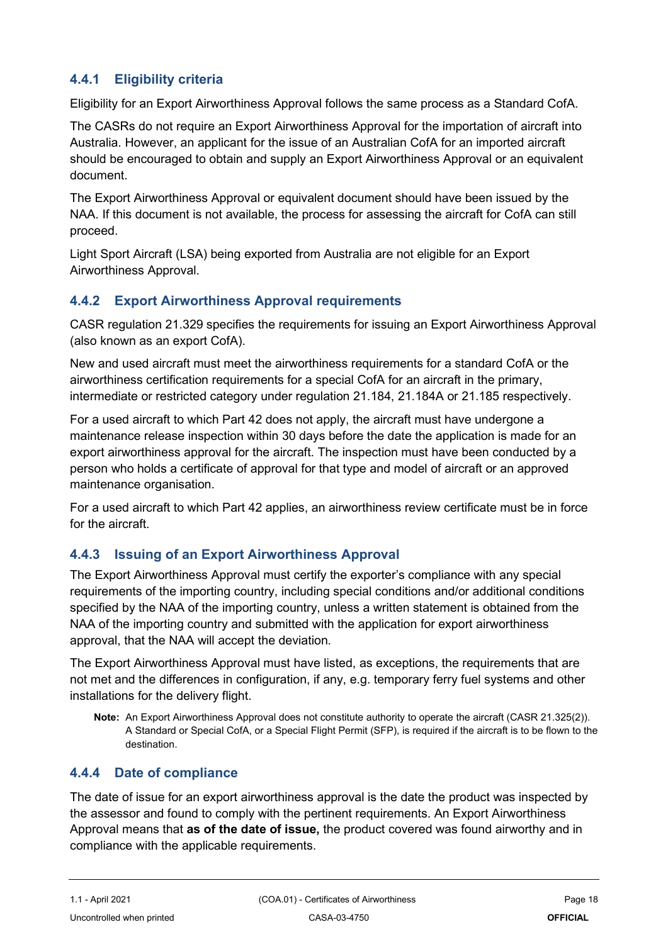#### **4.4.1 Eligibility criteria**

Eligibility for an Export Airworthiness Approval follows the same process as a Standard CofA.

The CASRs do not require an Export Airworthiness Approval for the importation of aircraft into Australia. However, an applicant for the issue of an Australian CofA for an imported aircraft should be encouraged to obtain and supply an Export Airworthiness Approval or an equivalent document.

The Export Airworthiness Approval or equivalent document should have been issued by the NAA. If this document is not available, the process for assessing the aircraft for CofA can still proceed.

Light Sport Aircraft (LSA) being exported from Australia are not eligible for an Export Airworthiness Approval.

#### **4.4.2 Export Airworthiness Approval requirements**

CASR regulation 21.329 specifies the requirements for issuing an Export Airworthiness Approval (also known as an export CofA).

New and used aircraft must meet the airworthiness requirements for a standard CofA or the airworthiness certification requirements for a special CofA for an aircraft in the primary, intermediate or restricted category under regulation 21.184, 21.184A or 21.185 respectively.

For a used aircraft to which Part 42 does not apply, the aircraft must have undergone a maintenance release inspection within 30 days before the date the application is made for an export airworthiness approval for the aircraft. The inspection must have been conducted by a person who holds a certificate of approval for that type and model of aircraft or an approved maintenance organisation.

For a used aircraft to which Part 42 applies, an airworthiness review certificate must be in force for the aircraft.

#### **4.4.3 Issuing of an Export Airworthiness Approval**

The Export Airworthiness Approval must certify the exporter's compliance with any special requirements of the importing country, including special conditions and/or additional conditions specified by the NAA of the importing country, unless a written statement is obtained from the NAA of the importing country and submitted with the application for export airworthiness approval, that the NAA will accept the deviation.

The Export Airworthiness Approval must have listed, as exceptions, the requirements that are not met and the differences in configuration, if any, e.g. temporary ferry fuel systems and other installations for the delivery flight.

**Note:** An Export Airworthiness Approval does not constitute authority to operate the aircraft (CASR 21.325(2)). A Standard or Special CofA, or a Special Flight Permit (SFP), is required if the aircraft is to be flown to the destination.

#### **4.4.4 Date of compliance**

The date of issue for an export airworthiness approval is the date the product was inspected by the assessor and found to comply with the pertinent requirements. An Export Airworthiness Approval means that **as of the date of issue,** the product covered was found airworthy and in compliance with the applicable requirements.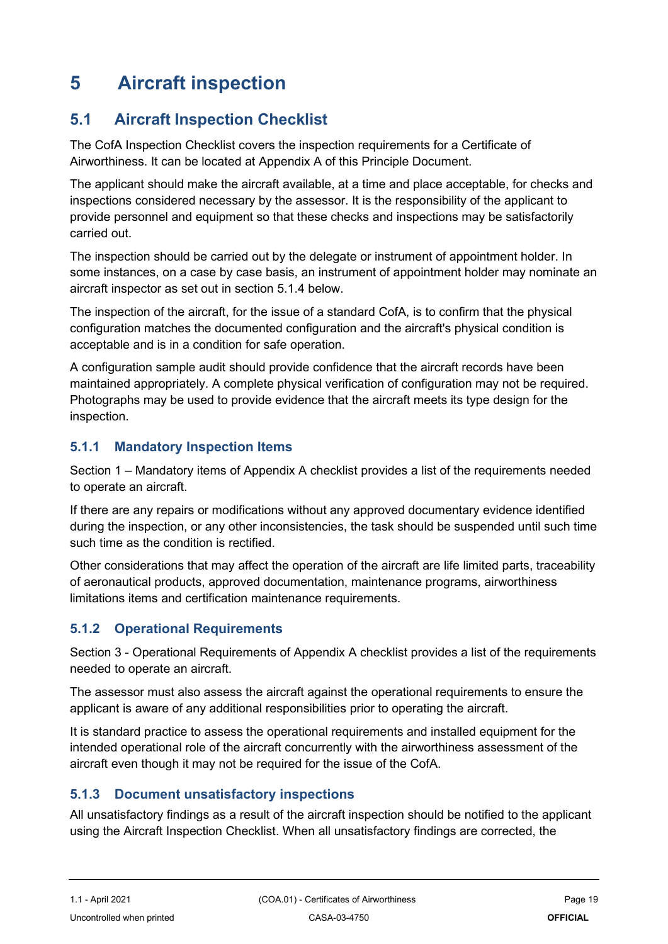## <span id="page-18-0"></span>**5 Aircraft inspection**

## <span id="page-18-1"></span>**5.1 Aircraft Inspection Checklist**

The CofA Inspection Checklist covers the inspection requirements for a Certificate of Airworthiness. It can be located at Appendix A of this Principle Document.

The applicant should make the aircraft available, at a time and place acceptable, for checks and inspections considered necessary by the assessor. It is the responsibility of the applicant to provide personnel and equipment so that these checks and inspections may be satisfactorily carried out.

The inspection should be carried out by the delegate or instrument of appointment holder. In some instances, on a case by case basis, an instrument of appointment holder may nominate an aircraft inspector as set out in section 5.1.4 below.

The inspection of the aircraft, for the issue of a standard CofA, is to confirm that the physical configuration matches the documented configuration and the aircraft's physical condition is acceptable and is in a condition for safe operation.

A configuration sample audit should provide confidence that the aircraft records have been maintained appropriately. A complete physical verification of configuration may not be required. Photographs may be used to provide evidence that the aircraft meets its type design for the inspection.

#### **5.1.1 Mandatory Inspection Items**

Section 1 – Mandatory items of Appendix A checklist provides a list of the requirements needed to operate an aircraft.

If there are any repairs or modifications without any approved documentary evidence identified during the inspection, or any other inconsistencies, the task should be suspended until such time such time as the condition is rectified.

Other considerations that may affect the operation of the aircraft are life limited parts, traceability of aeronautical products, approved documentation, maintenance programs, airworthiness limitations items and certification maintenance requirements.

#### **5.1.2 Operational Requirements**

Section 3 - Operational Requirements of Appendix A checklist provides a list of the requirements needed to operate an aircraft.

The assessor must also assess the aircraft against the operational requirements to ensure the applicant is aware of any additional responsibilities prior to operating the aircraft.

It is standard practice to assess the operational requirements and installed equipment for the intended operational role of the aircraft concurrently with the airworthiness assessment of the aircraft even though it may not be required for the issue of the CofA.

#### **5.1.3 Document unsatisfactory inspections**

All unsatisfactory findings as a result of the aircraft inspection should be notified to the applicant using the Aircraft Inspection Checklist. When all unsatisfactory findings are corrected, the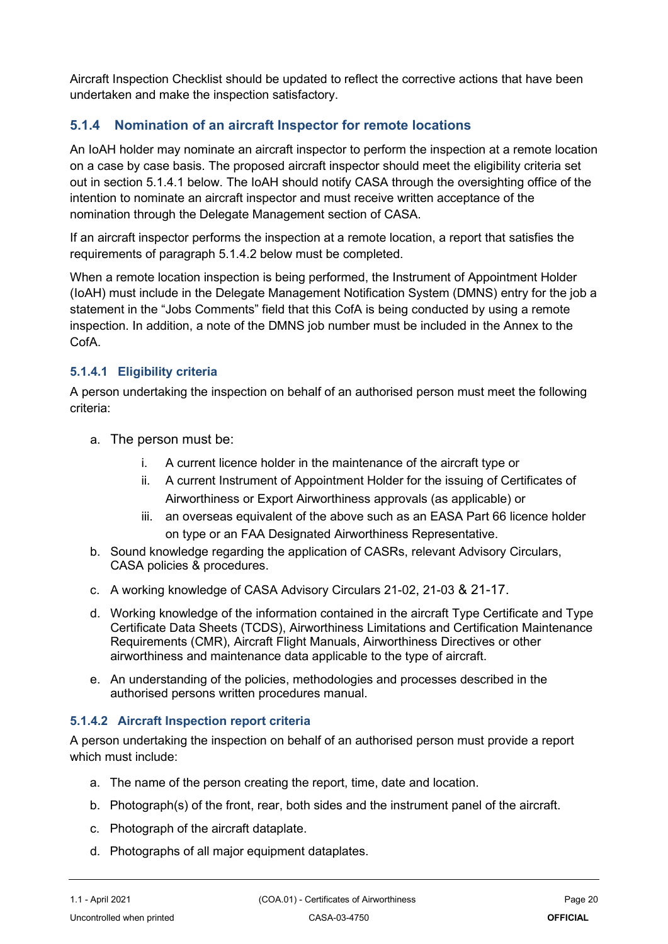Aircraft Inspection Checklist should be updated to reflect the corrective actions that have been undertaken and make the inspection satisfactory.

#### **5.1.4 Nomination of an aircraft Inspector for remote locations**

An IoAH holder may nominate an aircraft inspector to perform the inspection at a remote location on a case by case basis. The proposed aircraft inspector should meet the eligibility criteria set out in section 5.1.4.1 below. The IoAH should notify CASA through the oversighting office of the intention to nominate an aircraft inspector and must receive written acceptance of the nomination through the Delegate Management section of CASA.

If an aircraft inspector performs the inspection at a remote location, a report that satisfies the requirements of paragraph 5.1.4.2 below must be completed.

When a remote location inspection is being performed, the Instrument of Appointment Holder (IoAH) must include in the Delegate Management Notification System (DMNS) entry for the job a statement in the "Jobs Comments" field that this CofA is being conducted by using a remote inspection. In addition, a note of the DMNS job number must be included in the Annex to the CofA.

#### <span id="page-19-0"></span>**5.1.4.1 Eligibility criteria**

A person undertaking the inspection on behalf of an authorised person must meet the following criteria:

- <span id="page-19-2"></span><span id="page-19-1"></span>a. The person must be:
	- i. A current licence holder in the maintenance of the aircraft type or
	- ii. A current Instrument of Appointment Holder for the issuing of Certificates of Airworthiness or Export Airworthiness approvals (as applicable) or
	- iii. an overseas equivalent of the above such as an EASA Part 66 licence holder on type or an FAA Designated Airworthiness Representative.
- <span id="page-19-3"></span>b. Sound knowledge regarding the application of CASRs, relevant Advisory Circulars, CASA policies & procedures.
- c. A working knowledge of CASA Advisory Circulars 21-02, 21-03 & 21-17.
- d. Working knowledge of the information contained in the aircraft Type Certificate and Type Certificate Data Sheets (TCDS), Airworthiness Limitations and Certification Maintenance Requirements (CMR), Aircraft Flight Manuals, Airworthiness Directives or other airworthiness and maintenance data applicable to the type of aircraft.
- e. An understanding of the policies, methodologies and processes described in the authorised persons written procedures manual.

#### <span id="page-19-4"></span>**5.1.4.2 Aircraft Inspection report criteria**

A person undertaking the inspection on behalf of an authorised person must provide a report which must include:

- a. The name of the person creating the report, time, date and location.
- b. Photograph(s) of the front, rear, both sides and the instrument panel of the aircraft.
- c. Photograph of the aircraft dataplate.
- d. Photographs of all major equipment dataplates.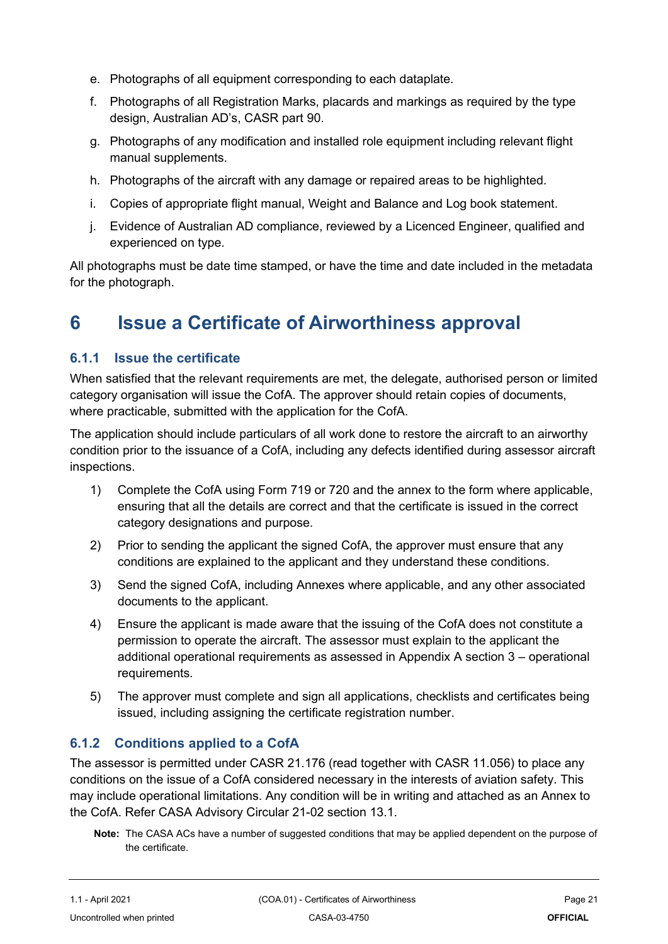- e. Photographs of all equipment corresponding to each dataplate.
- f. Photographs of all Registration Marks, placards and markings as required by the type design, Australian AD's, CASR part 90.
- g. Photographs of any modification and installed role equipment including relevant flight manual supplements.
- h. Photographs of the aircraft with any damage or repaired areas to be highlighted.
- i. Copies of appropriate flight manual, Weight and Balance and Log book statement.
- j. Evidence of Australian AD compliance, reviewed by a Licenced Engineer, qualified and experienced on type.

All photographs must be date time stamped, or have the time and date included in the metadata for the photograph.

## <span id="page-20-0"></span>**6 Issue a Certificate of Airworthiness approval**

#### **6.1.1 Issue the certificate**

When satisfied that the relevant requirements are met, the delegate, authorised person or limited category organisation will issue the CofA. The approver should retain copies of documents, where practicable, submitted with the application for the CofA.

The application should include particulars of all work done to restore the aircraft to an airworthy condition prior to the issuance of a CofA, including any defects identified during assessor aircraft inspections.

- 1) Complete the CofA using Form 719 or 720 and the annex to the form where applicable, ensuring that all the details are correct and that the certificate is issued in the correct category designations and purpose.
- 2) Prior to sending the applicant the signed CofA, the approver must ensure that any conditions are explained to the applicant and they understand these conditions.
- 3) Send the signed CofA, including Annexes where applicable, and any other associated documents to the applicant.
- 4) Ensure the applicant is made aware that the issuing of the CofA does not constitute a permission to operate the aircraft. The assessor must explain to the applicant the additional operational requirements as assessed in Appendix A section 3 – operational requirements.
- 5) The approver must complete and sign all applications, checklists and certificates being issued, including assigning the certificate registration number.

#### **6.1.2 Conditions applied to a CofA**

The assessor is permitted under CASR 21.176 (read together with CASR 11.056) to place any conditions on the issue of a CofA considered necessary in the interests of aviation safety. This may include operational limitations. Any condition will be in writing and attached as an Annex to the CofA. Refer CASA Advisory Circular 21-02 section 13.1.

**Note:** The CASA ACs have a number of suggested conditions that may be applied dependent on the purpose of the certificate.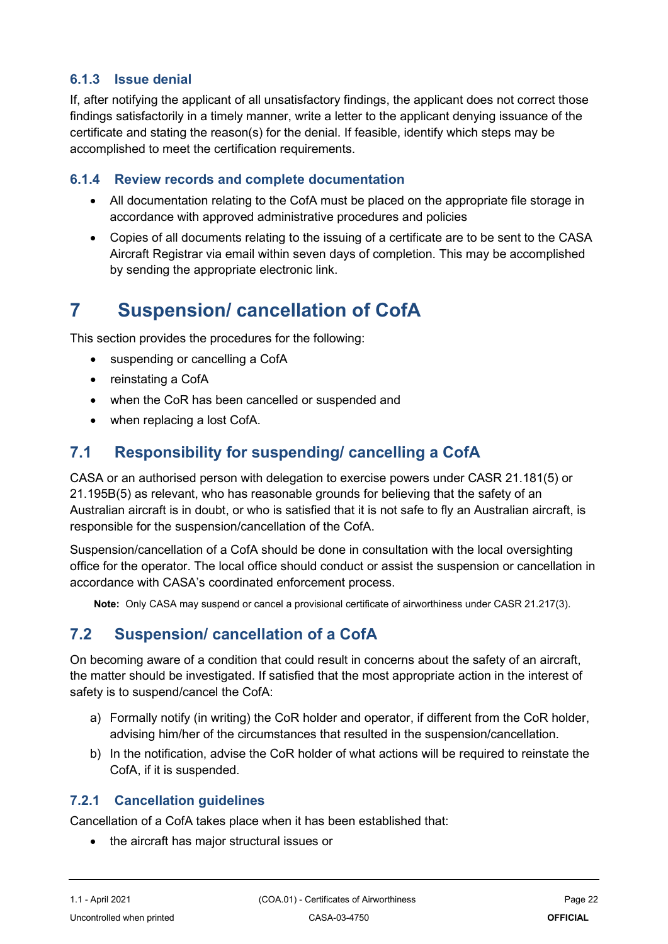#### **6.1.3 Issue denial**

If, after notifying the applicant of all unsatisfactory findings, the applicant does not correct those findings satisfactorily in a timely manner, write a letter to the applicant denying issuance of the certificate and stating the reason(s) for the denial. If feasible, identify which steps may be accomplished to meet the certification requirements.

#### **6.1.4 Review records and complete documentation**

- All documentation relating to the CofA must be placed on the appropriate file storage in accordance with approved administrative procedures and policies
- Copies of all documents relating to the issuing of a certificate are to be sent to the CASA Aircraft Registrar via email within seven days of completion. This may be accomplished by sending the appropriate electronic link.

## <span id="page-21-0"></span>**7 Suspension/ cancellation of CofA**

This section provides the procedures for the following:

- suspending or cancelling a CofA
- reinstating a CofA
- when the CoR has been cancelled or suspended and
- when replacing a lost CofA.

### <span id="page-21-1"></span>**7.1 Responsibility for suspending/ cancelling a CofA**

CASA or an authorised person with delegation to exercise powers under CASR 21.181(5) or 21.195B(5) as relevant, who has reasonable grounds for believing that the safety of an Australian aircraft is in doubt, or who is satisfied that it is not safe to fly an Australian aircraft, is responsible for the suspension/cancellation of the CofA.

Suspension/cancellation of a CofA should be done in consultation with the local oversighting office for the operator. The local office should conduct or assist the suspension or cancellation in accordance with CASA's coordinated enforcement process.

**Note:** Only CASA may suspend or cancel a provisional certificate of airworthiness under CASR 21.217(3).

### <span id="page-21-2"></span>**7.2 Suspension/ cancellation of a CofA**

On becoming aware of a condition that could result in concerns about the safety of an aircraft, the matter should be investigated. If satisfied that the most appropriate action in the interest of safety is to suspend/cancel the CofA:

- a) Formally notify (in writing) the CoR holder and operator, if different from the CoR holder, advising him/her of the circumstances that resulted in the suspension/cancellation.
- b) In the notification, advise the CoR holder of what actions will be required to reinstate the CofA, if it is suspended.

#### **7.2.1 Cancellation guidelines**

Cancellation of a CofA takes place when it has been established that:

• the aircraft has major structural issues or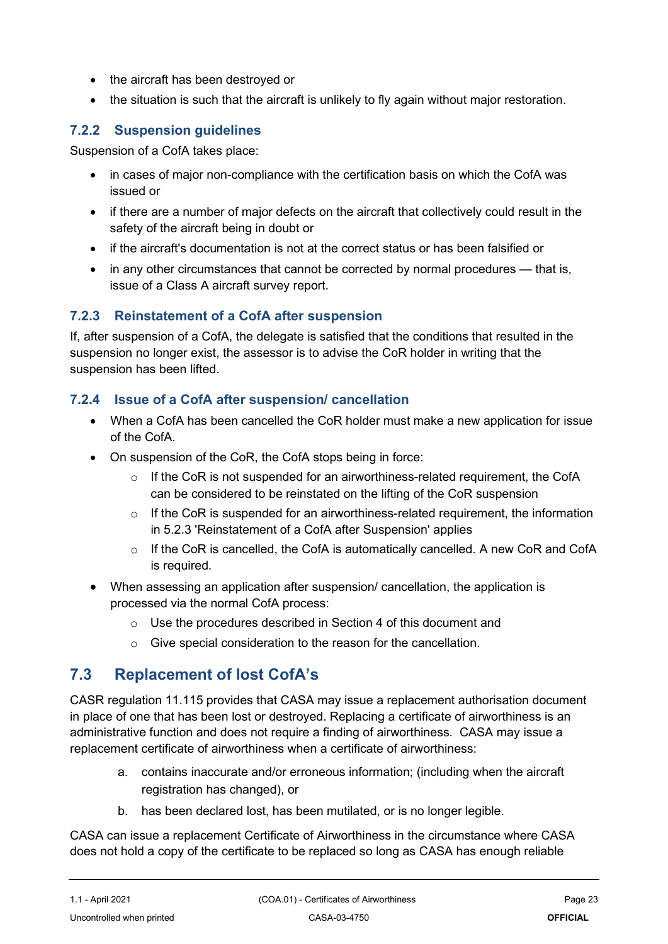- the aircraft has been destroyed or
- the situation is such that the aircraft is unlikely to fly again without major restoration.

### **7.2.2 Suspension guidelines**

Suspension of a CofA takes place:

- in cases of major non-compliance with the certification basis on which the CofA was issued or
- if there are a number of major defects on the aircraft that collectively could result in the safety of the aircraft being in doubt or
- if the aircraft's documentation is not at the correct status or has been falsified or
- in any other circumstances that cannot be corrected by normal procedures that is, issue of a Class A aircraft survey report.

#### **7.2.3 Reinstatement of a CofA after suspension**

If, after suspension of a CofA, the delegate is satisfied that the conditions that resulted in the suspension no longer exist, the assessor is to advise the CoR holder in writing that the suspension has been lifted.

#### **7.2.4 Issue of a CofA after suspension/ cancellation**

- When a CofA has been cancelled the CoR holder must make a new application for issue of the CofA.
- On suspension of the CoR, the CofA stops being in force:
	- o If the CoR is not suspended for an airworthiness-related requirement, the CofA can be considered to be reinstated on the lifting of the CoR suspension
	- $\circ$  If the CoR is suspended for an airworthiness-related requirement, the information in 5.2.3 'Reinstatement of a CofA after Suspension' applies
	- $\circ$  If the CoR is cancelled, the CofA is automatically cancelled. A new CoR and CofA is required.
- When assessing an application after suspension/ cancellation, the application is processed via the normal CofA process:
	- o Use the procedures described in Section 4 of this document and
	- o Give special consideration to the reason for the cancellation.

### <span id="page-22-0"></span>**7.3 Replacement of lost CofA's**

CASR regulation 11.115 provides that CASA may issue a replacement authorisation document in place of one that has been lost or destroyed. Replacing a certificate of airworthiness is an administrative function and does not require a finding of airworthiness. CASA may issue a replacement certificate of airworthiness when a certificate of airworthiness:

- a. contains inaccurate and/or erroneous information; (including when the aircraft registration has changed), or
- b. has been declared lost, has been mutilated, or is no longer legible.

CASA can issue a replacement Certificate of Airworthiness in the circumstance where CASA does not hold a copy of the certificate to be replaced so long as CASA has enough reliable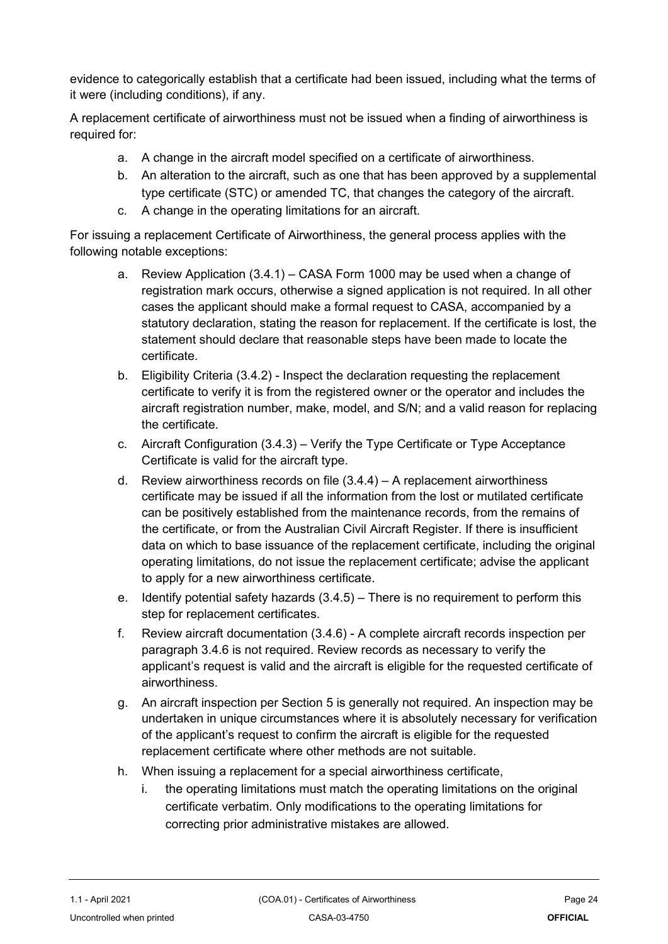evidence to categorically establish that a certificate had been issued, including what the terms of it were (including conditions), if any.

A replacement certificate of airworthiness must not be issued when a finding of airworthiness is required for:

- a. A change in the aircraft model specified on a certificate of airworthiness.
- b. An alteration to the aircraft, such as one that has been approved by a supplemental type certificate (STC) or amended TC, that changes the category of the aircraft.
- c. A change in the operating limitations for an aircraft.

For issuing a replacement Certificate of Airworthiness, the general process applies with the following notable exceptions:

- a. Review Application (3.4.1) CASA Form 1000 may be used when a change of registration mark occurs, otherwise a signed application is not required. In all other cases the applicant should make a formal request to CASA, accompanied by a statutory declaration, stating the reason for replacement. If the certificate is lost, the statement should declare that reasonable steps have been made to locate the certificate.
- b. Eligibility Criteria (3.4.2) Inspect the declaration requesting the replacement certificate to verify it is from the registered owner or the operator and includes the aircraft registration number, make, model, and S/N; and a valid reason for replacing the certificate.
- c. Aircraft Configuration (3.4.3) Verify the Type Certificate or Type Acceptance Certificate is valid for the aircraft type.
- d. Review airworthiness records on file (3.4.4) A replacement airworthiness certificate may be issued if all the information from the lost or mutilated certificate can be positively established from the maintenance records, from the remains of the certificate, or from the Australian Civil Aircraft Register. If there is insufficient data on which to base issuance of the replacement certificate, including the original operating limitations, do not issue the replacement certificate; advise the applicant to apply for a new airworthiness certificate.
- e. Identify potential safety hazards (3.4.5) There is no requirement to perform this step for replacement certificates.
- f. Review aircraft documentation (3.4.6) A complete aircraft records inspection per paragraph 3.4.6 is not required. Review records as necessary to verify the applicant's request is valid and the aircraft is eligible for the requested certificate of airworthiness.
- g. An aircraft inspection per Section 5 is generally not required. An inspection may be undertaken in unique circumstances where it is absolutely necessary for verification of the applicant's request to confirm the aircraft is eligible for the requested replacement certificate where other methods are not suitable.
- h. When issuing a replacement for a special airworthiness certificate,
	- i. the operating limitations must match the operating limitations on the original certificate verbatim. Only modifications to the operating limitations for correcting prior administrative mistakes are allowed.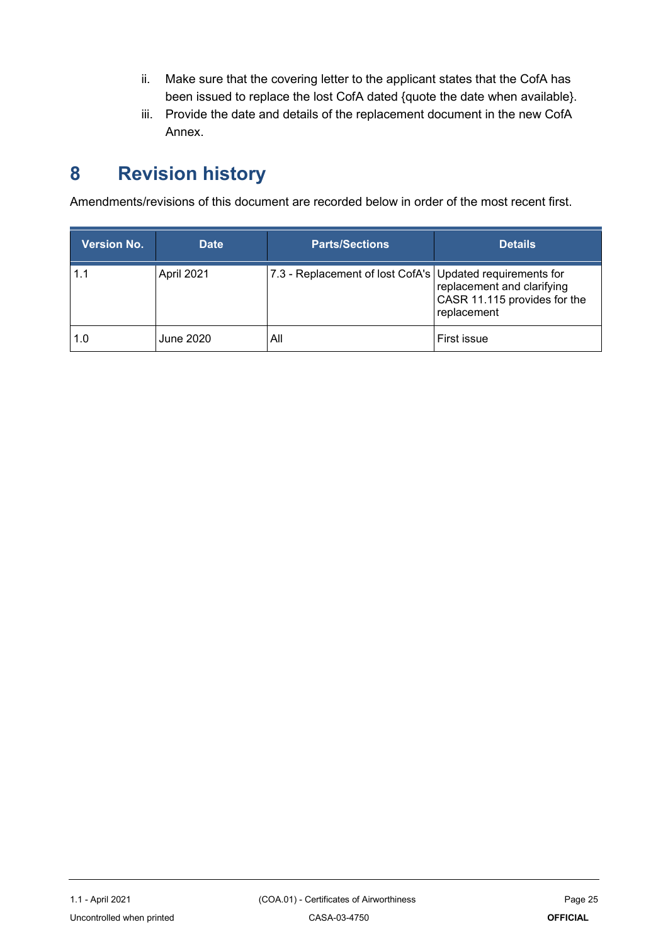- ii. Make sure that the covering letter to the applicant states that the CofA has been issued to replace the lost CofA dated {quote the date when available}.
- iii. Provide the date and details of the replacement document in the new CofA Annex.

## <span id="page-24-0"></span>**8 Revision history**

Amendments/revisions of this document are recorded below in order of the most recent first.

| <b>Version No.</b> | <b>Date</b> | <b>Parts/Sections</b>                                       | <b>Details</b>                                                            |
|--------------------|-------------|-------------------------------------------------------------|---------------------------------------------------------------------------|
| 1.1                | April 2021  | 7.3 - Replacement of lost CofA's   Updated requirements for | replacement and clarifying<br>CASR 11.115 provides for the<br>replacement |
| 1.0                | June 2020   | All                                                         | First issue                                                               |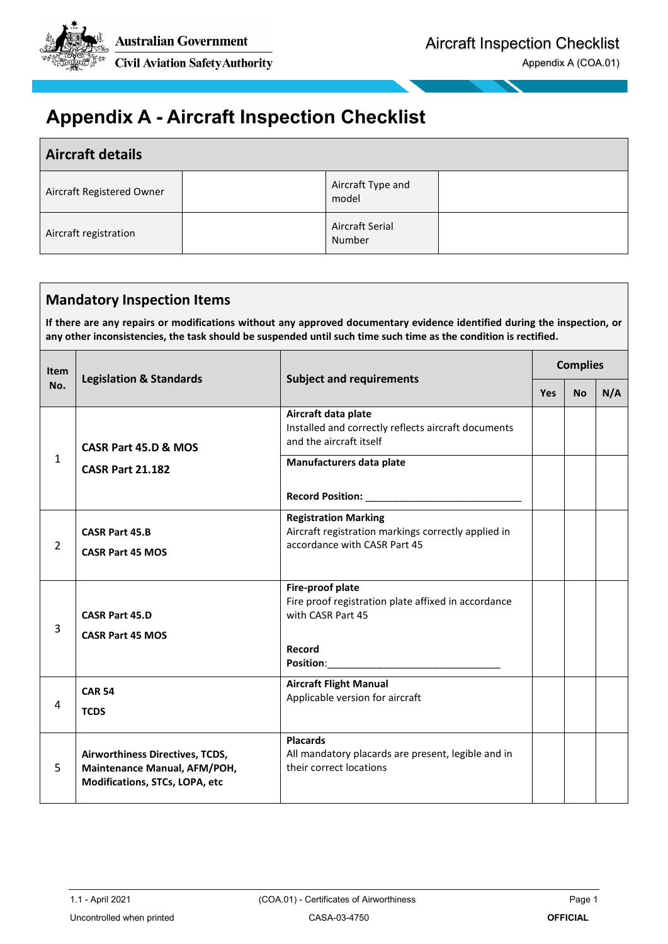

## <span id="page-25-0"></span>**Appendix A - Aircraft Inspection Checklist**

| <b>Aircraft details</b>   |                            |  |
|---------------------------|----------------------------|--|
| Aircraft Registered Owner | Aircraft Type and<br>model |  |
| Aircraft registration     | Aircraft Serial<br>Number  |  |

#### **Mandatory Inspection Items**

**If there are any repairs or modifications without any approved documentary evidence identified during the inspection, or any other inconsistencies, the task should be suspended until such time such time as the condition is rectified.** 

| Item           | <b>Legislation &amp; Standards</b>                                                                | <b>Subject and requirements</b>                                                                                    | <b>Complies</b> |           |     |
|----------------|---------------------------------------------------------------------------------------------------|--------------------------------------------------------------------------------------------------------------------|-----------------|-----------|-----|
| No.            |                                                                                                   |                                                                                                                    | <b>Yes</b>      | <b>No</b> | N/A |
|                | CASR Part 45.D & MOS                                                                              | Aircraft data plate<br>Installed and correctly reflects aircraft documents<br>and the aircraft itself              |                 |           |     |
| 1              | <b>CASR Part 21.182</b>                                                                           | Manufacturers data plate                                                                                           |                 |           |     |
|                |                                                                                                   |                                                                                                                    |                 |           |     |
| $\overline{2}$ | <b>CASR Part 45.B</b><br><b>CASR Part 45 MOS</b>                                                  | <b>Registration Marking</b><br>Aircraft registration markings correctly applied in<br>accordance with CASR Part 45 |                 |           |     |
| 3              | <b>CASR Part 45.D</b><br><b>CASR Part 45 MOS</b>                                                  | Fire-proof plate<br>Fire proof registration plate affixed in accordance<br>with CASR Part 45<br>Record             |                 |           |     |
| 4              | <b>CAR 54</b><br><b>TCDS</b>                                                                      | <b>Aircraft Flight Manual</b><br>Applicable version for aircraft                                                   |                 |           |     |
| 5              | Airworthiness Directives, TCDS,<br>Maintenance Manual, AFM/POH,<br>Modifications, STCs, LOPA, etc | <b>Placards</b><br>All mandatory placards are present, legible and in<br>their correct locations                   |                 |           |     |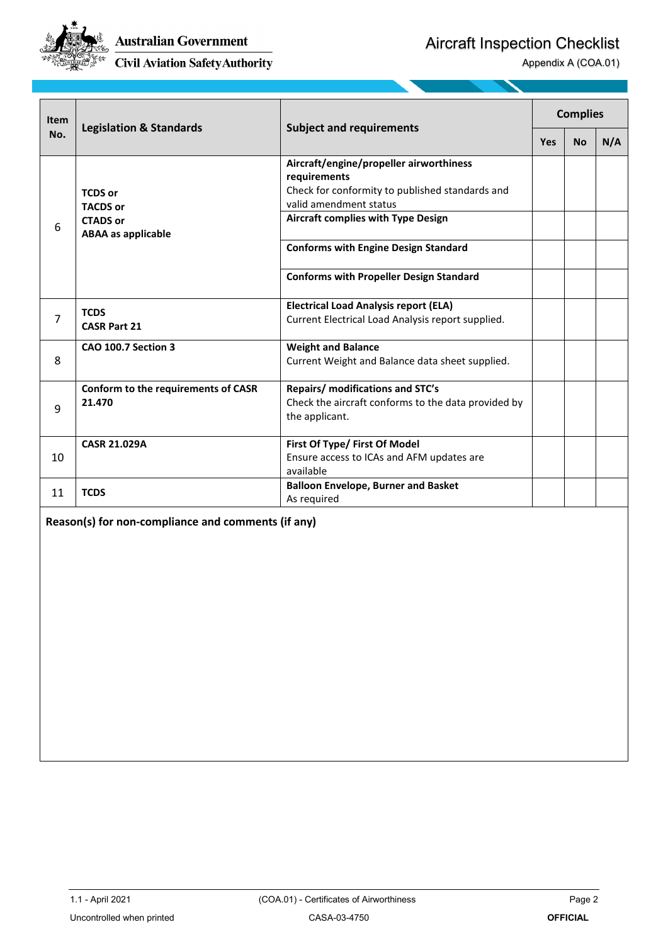

Aircraft Inspection Checklist

Appendix A (COA.01)

| Item           | <b>Legislation &amp; Standards</b>                                                | <b>Subject and requirements</b>                                                                                                                                                                                                                                                    |     | <b>Complies</b> |     |
|----------------|-----------------------------------------------------------------------------------|------------------------------------------------------------------------------------------------------------------------------------------------------------------------------------------------------------------------------------------------------------------------------------|-----|-----------------|-----|
| No.            |                                                                                   |                                                                                                                                                                                                                                                                                    | Yes | <b>No</b>       | N/A |
| 6              | <b>TCDS or</b><br><b>TACDS or</b><br><b>CTADS or</b><br><b>ABAA</b> as applicable | Aircraft/engine/propeller airworthiness<br>requirements<br>Check for conformity to published standards and<br>valid amendment status<br><b>Aircraft complies with Type Design</b><br><b>Conforms with Engine Design Standard</b><br><b>Conforms with Propeller Design Standard</b> |     |                 |     |
| $\overline{7}$ | <b>TCDS</b><br><b>CASR Part 21</b>                                                | <b>Electrical Load Analysis report (ELA)</b><br>Current Electrical Load Analysis report supplied.                                                                                                                                                                                  |     |                 |     |
| 8              | <b>CAO 100.7 Section 3</b>                                                        | <b>Weight and Balance</b><br>Current Weight and Balance data sheet supplied.                                                                                                                                                                                                       |     |                 |     |
| 9              | Conform to the requirements of CASR<br>21.470                                     | Repairs/ modifications and STC's<br>Check the aircraft conforms to the data provided by<br>the applicant.                                                                                                                                                                          |     |                 |     |
| 10             | <b>CASR 21.029A</b>                                                               | First Of Type/ First Of Model<br>Ensure access to ICAs and AFM updates are<br>available                                                                                                                                                                                            |     |                 |     |
| 11             | <b>TCDS</b>                                                                       | <b>Balloon Envelope, Burner and Basket</b><br>As required                                                                                                                                                                                                                          |     |                 |     |
|                | Reason(s) for non-compliance and comments (if any)                                |                                                                                                                                                                                                                                                                                    |     |                 |     |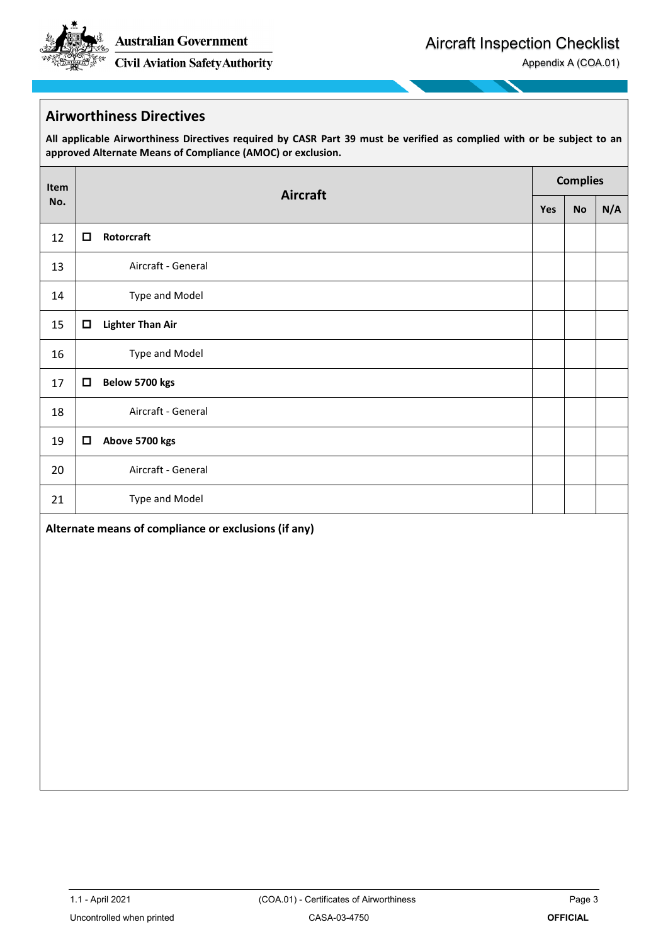**Australian Government** 

**Civil Aviation Safety Authority** 

Appendix A (COA.01)

#### **Airworthiness Directives**

**All applicable Airworthiness Directives required by CASR Part 39 must be verified as complied with or be subject to an approved Alternate Means of Compliance (AMOC) or exclusion.**

| Item |        | <b>Aircraft</b>                                      |            | <b>Complies</b> |     |
|------|--------|------------------------------------------------------|------------|-----------------|-----|
| No.  |        |                                                      | <b>Yes</b> | <b>No</b>       | N/A |
| 12   | ◘      | Rotorcraft                                           |            |                 |     |
| 13   |        | Aircraft - General                                   |            |                 |     |
| 14   |        | Type and Model                                       |            |                 |     |
| 15   | $\Box$ | <b>Lighter Than Air</b>                              |            |                 |     |
| 16   |        | Type and Model                                       |            |                 |     |
| 17   | ◘      | Below 5700 kgs                                       |            |                 |     |
| 18   |        | Aircraft - General                                   |            |                 |     |
| 19   | ◻      | Above 5700 kgs                                       |            |                 |     |
| 20   |        | Aircraft - General                                   |            |                 |     |
| 21   |        | Type and Model                                       |            |                 |     |
|      |        | Alternate means of compliance or exclusions (if any) |            |                 |     |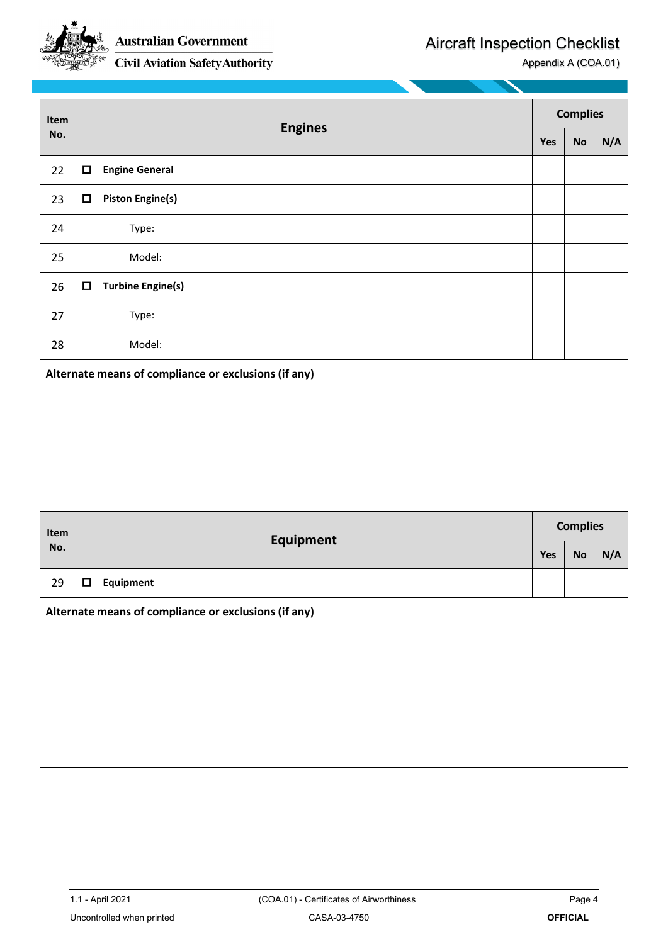

Aircraft Inspection Checklist

Appendix A (COA.01)

| <b>Complies</b><br>Item<br><b>Engines</b><br>No.<br><b>No</b><br>Yes |        |                          |     |                 |     |
|----------------------------------------------------------------------|--------|--------------------------|-----|-----------------|-----|
|                                                                      |        |                          |     |                 | N/A |
| 22                                                                   | □      | <b>Engine General</b>    |     |                 |     |
| 23                                                                   | О      | <b>Piston Engine(s)</b>  |     |                 |     |
| 24                                                                   |        | Type:                    |     |                 |     |
| 25                                                                   |        | Model:                   |     |                 |     |
| 26                                                                   | $\Box$ | <b>Turbine Engine(s)</b> |     |                 |     |
| 27                                                                   |        | Type:                    |     |                 |     |
| 28                                                                   |        | Model:                   |     |                 |     |
|                                                                      |        |                          |     |                 |     |
|                                                                      |        |                          |     |                 |     |
| Item                                                                 |        |                          |     | <b>Complies</b> |     |
| No.                                                                  |        | Equipment                | Yes | <b>No</b>       | N/A |
| 29                                                                   | $\Box$ | Equipment                |     |                 |     |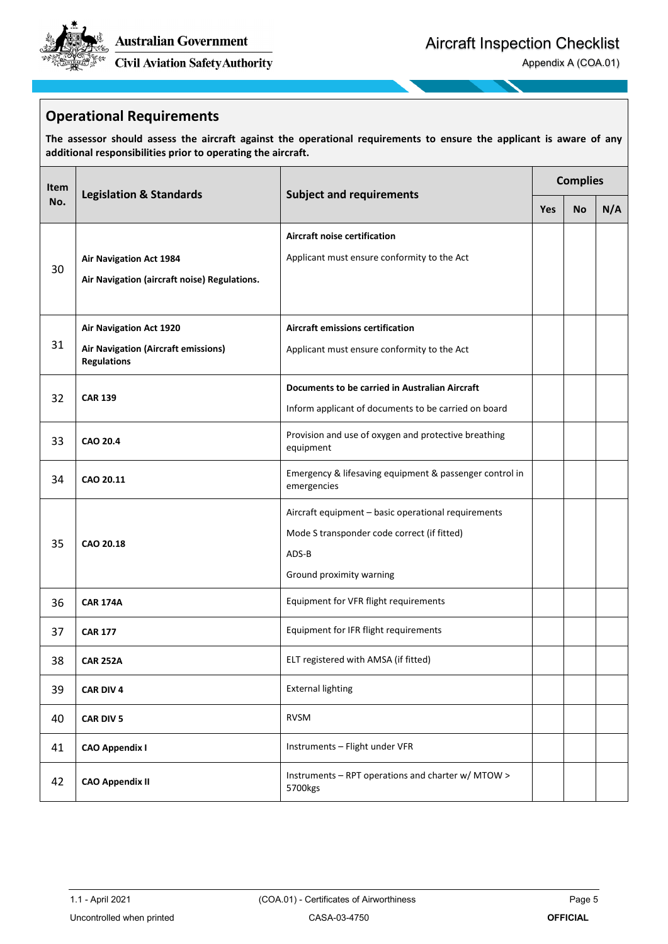

Appendix A (COA.01)

#### **Operational Requirements**

**The assessor should assess the aircraft against the operational requirements to ensure the applicant is aware of any additional responsibilities prior to operating the aircraft.**

| Item                                                                                 |                                                                                                                          | <b>Complies</b>                                                                                                                         |  |           |     |
|--------------------------------------------------------------------------------------|--------------------------------------------------------------------------------------------------------------------------|-----------------------------------------------------------------------------------------------------------------------------------------|--|-----------|-----|
| No.                                                                                  | <b>Legislation &amp; Standards</b>                                                                                       | <b>Subject and requirements</b>                                                                                                         |  | <b>No</b> | N/A |
| <b>Air Navigation Act 1984</b><br>30<br>Air Navigation (aircraft noise) Regulations. |                                                                                                                          | <b>Aircraft noise certification</b><br>Applicant must ensure conformity to the Act                                                      |  |           |     |
| 31                                                                                   | <b>Air Navigation Act 1920</b><br>Air Navigation (Aircraft emissions)<br><b>Regulations</b>                              | Aircraft emissions certification<br>Applicant must ensure conformity to the Act                                                         |  |           |     |
| 32                                                                                   | Documents to be carried in Australian Aircraft<br><b>CAR 139</b><br>Inform applicant of documents to be carried on board |                                                                                                                                         |  |           |     |
| 33                                                                                   | Provision and use of oxygen and protective breathing<br><b>CAO 20.4</b><br>equipment                                     |                                                                                                                                         |  |           |     |
| 34                                                                                   | CAO 20.11                                                                                                                | Emergency & lifesaving equipment & passenger control in<br>emergencies                                                                  |  |           |     |
| 35                                                                                   | CAO 20.18                                                                                                                | Aircraft equipment - basic operational requirements<br>Mode S transponder code correct (if fitted)<br>ADS-B<br>Ground proximity warning |  |           |     |
| 36                                                                                   | Equipment for VFR flight requirements<br><b>CAR 174A</b>                                                                 |                                                                                                                                         |  |           |     |
| 37                                                                                   | <b>CAR 177</b>                                                                                                           | Equipment for IFR flight requirements                                                                                                   |  |           |     |
| 38                                                                                   | <b>CAR 252A</b>                                                                                                          | ELT registered with AMSA (if fitted)                                                                                                    |  |           |     |
| 39                                                                                   | CAR DIV 4                                                                                                                | <b>External lighting</b>                                                                                                                |  |           |     |
| 40                                                                                   | <b>CAR DIV 5</b>                                                                                                         | <b>RVSM</b>                                                                                                                             |  |           |     |
| 41                                                                                   | <b>CAO Appendix I</b>                                                                                                    | Instruments - Flight under VFR                                                                                                          |  |           |     |
| 42                                                                                   | <b>CAO Appendix II</b>                                                                                                   | Instruments - RPT operations and charter w/ MTOW ><br>5700kgs                                                                           |  |           |     |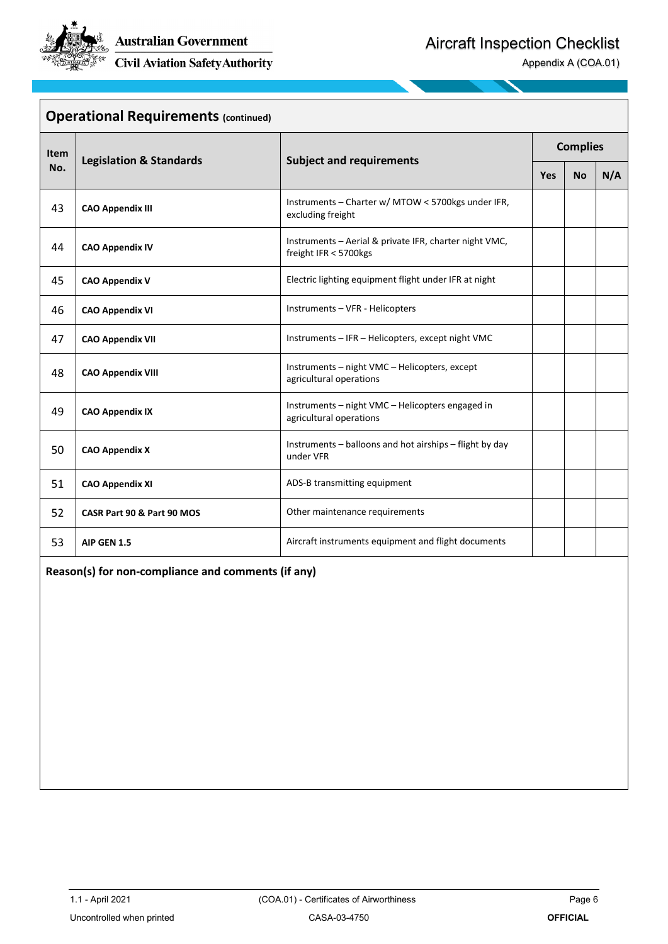

Appendix A (COA.01)

| <b>Operational Requirements (continued)</b> |                                                                                |                                                                                 |                 |           |     |  |
|---------------------------------------------|--------------------------------------------------------------------------------|---------------------------------------------------------------------------------|-----------------|-----------|-----|--|
| Item<br>No.                                 | <b>Legislation &amp; Standards</b>                                             | <b>Subject and requirements</b>                                                 | <b>Complies</b> |           |     |  |
|                                             |                                                                                |                                                                                 | <b>Yes</b>      | <b>No</b> | N/A |  |
| 43                                          | <b>CAO Appendix III</b>                                                        | Instruments - Charter w/ MTOW < 5700kgs under IFR,<br>excluding freight         |                 |           |     |  |
| 44                                          | <b>CAO Appendix IV</b>                                                         | Instruments - Aerial & private IFR, charter night VMC,<br>freight IFR < 5700kgs |                 |           |     |  |
| 45                                          | Electric lighting equipment flight under IFR at night<br><b>CAO Appendix V</b> |                                                                                 |                 |           |     |  |
| 46                                          | <b>CAO Appendix VI</b>                                                         | Instruments - VFR - Helicopters                                                 |                 |           |     |  |
| 47                                          | <b>CAO Appendix VII</b>                                                        | Instruments - IFR - Helicopters, except night VMC                               |                 |           |     |  |
| 48                                          | <b>CAO Appendix VIII</b>                                                       | Instruments - night VMC - Helicopters, except<br>agricultural operations        |                 |           |     |  |
| 49                                          | <b>CAO Appendix IX</b>                                                         | Instruments - night VMC - Helicopters engaged in<br>agricultural operations     |                 |           |     |  |
| 50                                          | <b>CAO Appendix X</b>                                                          | Instruments - balloons and hot airships - flight by day<br>under VFR            |                 |           |     |  |
| 51                                          | <b>CAO Appendix XI</b>                                                         | ADS-B transmitting equipment                                                    |                 |           |     |  |
| 52                                          | CASR Part 90 & Part 90 MOS                                                     | Other maintenance requirements                                                  |                 |           |     |  |
| 53                                          | AIP GEN 1.5                                                                    | Aircraft instruments equipment and flight documents                             |                 |           |     |  |

**Reason(s) for non-compliance and comments (if any)**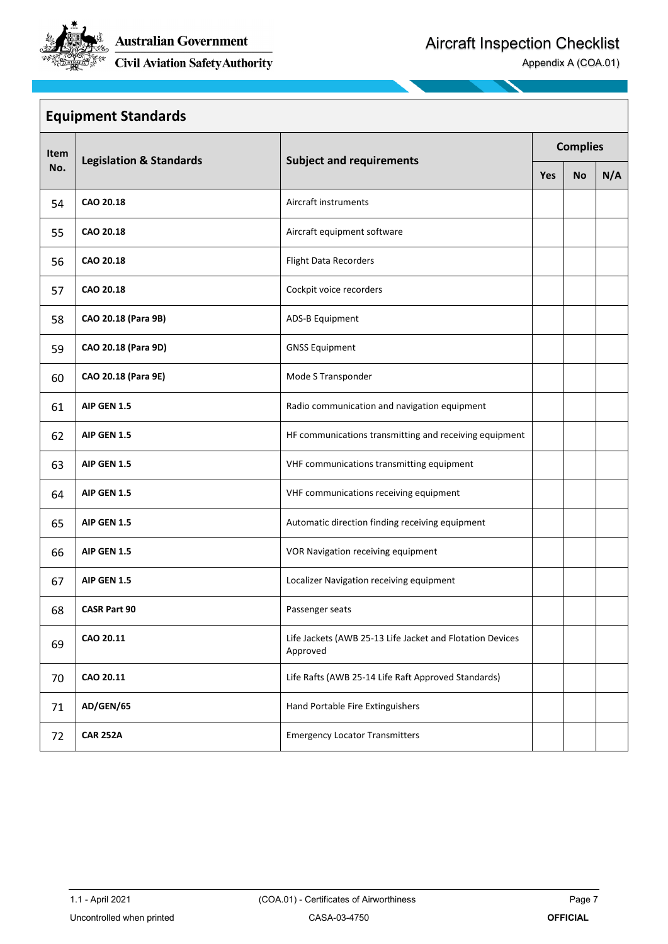

Appendix A (COA.01)

| <b>Equipment Standards</b> |                     |                                                                       |                 |           |     |  |
|----------------------------|---------------------|-----------------------------------------------------------------------|-----------------|-----------|-----|--|
| Item                       |                     |                                                                       | <b>Complies</b> |           |     |  |
| No.                        |                     | <b>Subject and requirements</b><br><b>Legislation &amp; Standards</b> |                 | <b>No</b> | N/A |  |
| 54                         | CAO 20.18           | Aircraft instruments                                                  |                 |           |     |  |
| 55                         | CAO 20.18           | Aircraft equipment software                                           |                 |           |     |  |
| 56                         | CAO 20.18           | <b>Flight Data Recorders</b>                                          |                 |           |     |  |
| 57                         | CAO 20.18           | Cockpit voice recorders                                               |                 |           |     |  |
| 58                         | CAO 20.18 (Para 9B) | ADS-B Equipment                                                       |                 |           |     |  |
| 59                         | CAO 20.18 (Para 9D) | <b>GNSS Equipment</b>                                                 |                 |           |     |  |
| 60                         | CAO 20.18 (Para 9E) | Mode S Transponder                                                    |                 |           |     |  |
| 61                         | AIP GEN 1.5         | Radio communication and navigation equipment                          |                 |           |     |  |
| 62                         | <b>AIP GEN 1.5</b>  | HF communications transmitting and receiving equipment                |                 |           |     |  |
| 63                         | AIP GEN 1.5         | VHF communications transmitting equipment                             |                 |           |     |  |
| 64                         | AIP GEN 1.5         | VHF communications receiving equipment                                |                 |           |     |  |
| 65                         | <b>AIP GEN 1.5</b>  | Automatic direction finding receiving equipment                       |                 |           |     |  |
| 66                         | AIP GEN 1.5         | VOR Navigation receiving equipment                                    |                 |           |     |  |
| 67                         | <b>AIP GEN 1.5</b>  | Localizer Navigation receiving equipment                              |                 |           |     |  |
| 68                         | <b>CASR Part 90</b> | Passenger seats                                                       |                 |           |     |  |
| 69                         | CAO 20.11           | Life Jackets (AWB 25-13 Life Jacket and Flotation Devices<br>Approved |                 |           |     |  |
| 70                         | CAO 20.11           | Life Rafts (AWB 25-14 Life Raft Approved Standards)                   |                 |           |     |  |
| 71                         | AD/GEN/65           | Hand Portable Fire Extinguishers                                      |                 |           |     |  |
| 72                         | <b>CAR 252A</b>     | <b>Emergency Locator Transmitters</b>                                 |                 |           |     |  |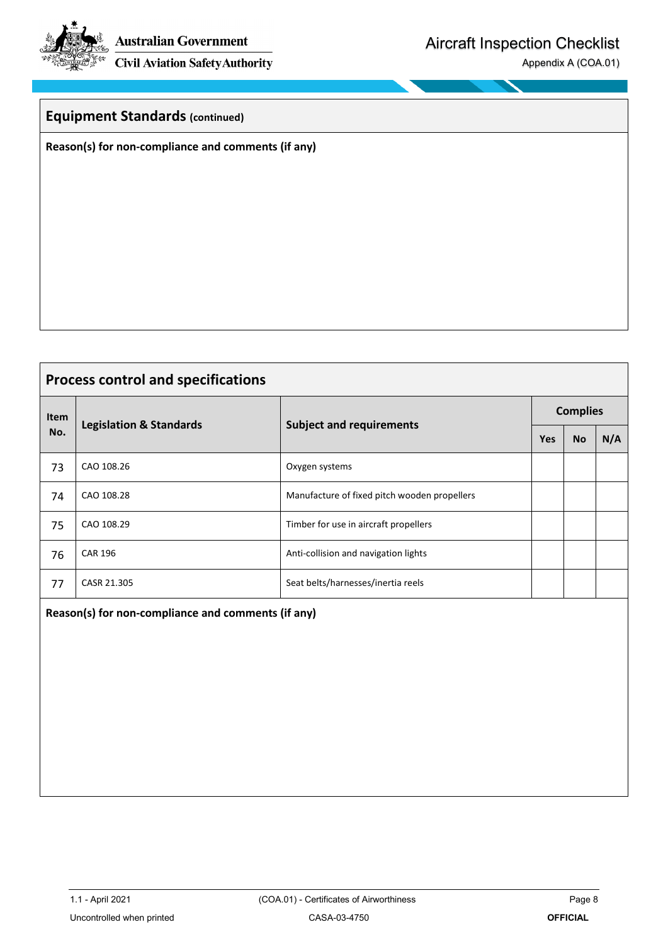Australian Government

**Civil Aviation Safety Authority** 

Appendix A (COA.01)

#### **Equipment Standards (continued)**

**Reason(s) for non-compliance and comments (if any)**

## **Process control and specifications Item No. Legislation & Standards Subject and requirements Complies Yes** | **No** | **N/A** 73 CAO 108.26 Oxygen systems 74 CAO 108.28 Manufacture of fixed pitch wooden propellers 75 CAO 108.29 Timber for use in aircraft propellers 76 CAR 196 CAR 196 CAR 196 CAR 196 CAR 196 CAR 196 CAR 196 CAR 197 CAR 197 CAR 197 CAR 197 CAR 197 CAR 197 CAR 77 CASR 21.305 Seat belts/harnesses/inertia reels **Reason(s) for non-compliance and comments (if any)**